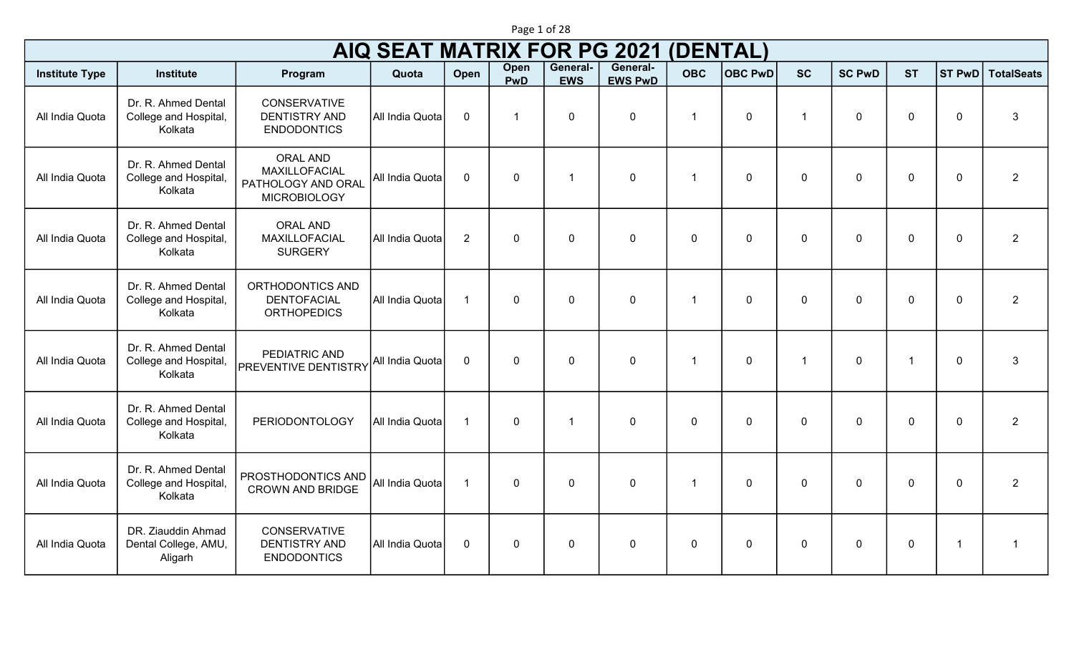|                       | Page 1 of 28                                            |                                                                                      |                                    |                |                    |                        |                            |                         |                |                         |               |                |                         |                   |
|-----------------------|---------------------------------------------------------|--------------------------------------------------------------------------------------|------------------------------------|----------------|--------------------|------------------------|----------------------------|-------------------------|----------------|-------------------------|---------------|----------------|-------------------------|-------------------|
|                       |                                                         |                                                                                      | <b>AIQ SEAT MATRIX FOR PG 2021</b> |                |                    |                        |                            | (DENTAL)                |                |                         |               |                |                         |                   |
| <b>Institute Type</b> | Institute                                               | Program                                                                              | Quota                              | Open           | Open<br><b>PwD</b> | General-<br><b>EWS</b> | General-<br><b>EWS PwD</b> | <b>OBC</b>              | <b>OBC PwD</b> | <b>SC</b>               | <b>SC PwD</b> | <b>ST</b>      | <b>ST PwD</b>           | <b>TotalSeats</b> |
| All India Quota       | Dr. R. Ahmed Dental<br>College and Hospital,<br>Kolkata | <b>CONSERVATIVE</b><br><b>DENTISTRY AND</b><br><b>ENDODONTICS</b>                    | All India Quota                    | $\mathbf 0$    |                    | $\mathbf 0$            | $\mathbf 0$                | $\overline{\mathbf{1}}$ | $\mathbf 0$    | $\overline{\mathbf{1}}$ | $\mathbf 0$   | $\mathbf 0$    | $\mathbf 0$             | 3                 |
| All India Quota       | Dr. R. Ahmed Dental<br>College and Hospital,<br>Kolkata | <b>ORAL AND</b><br><b>MAXILLOFACIAL</b><br>PATHOLOGY AND ORAL<br><b>MICROBIOLOGY</b> | All India Quota                    | $\mathbf 0$    | $\mathbf 0$        | $\overline{1}$         | $\mathbf 0$                | $\mathbf{1}$            | $\mathbf 0$    | $\mathbf 0$             | $\mathbf 0$   | $\mathbf 0$    | $\mathbf 0$             | $\overline{2}$    |
| All India Quota       | Dr. R. Ahmed Dental<br>College and Hospital,<br>Kolkata | <b>ORAL AND</b><br>MAXILLOFACIAL<br><b>SURGERY</b>                                   | All India Quota                    | $\overline{2}$ | $\mathbf 0$        | $\mathbf 0$            | $\mathbf 0$                | $\mathbf{0}$            | $\mathbf 0$    | $\mathbf 0$             | $\mathbf 0$   | $\mathbf 0$    | $\mathbf 0$             | $\overline{2}$    |
| All India Quota       | Dr. R. Ahmed Dental<br>College and Hospital,<br>Kolkata | ORTHODONTICS AND<br><b>DENTOFACIAL</b><br><b>ORTHOPEDICS</b>                         | All India Quota                    | $\mathbf{1}$   | $\mathbf 0$        | $\mathbf 0$            | $\mathbf 0$                | $\mathbf{1}$            | $\mathbf 0$    | $\mathbf 0$             | $\mathbf 0$   | $\mathbf 0$    | $\mathbf 0$             | $\overline{2}$    |
| All India Quota       | Dr. R. Ahmed Dental<br>College and Hospital,<br>Kolkata | PEDIATRIC AND<br><b>PREVENTIVE DENTISTRY</b>                                         | All India Quota                    | $\mathbf 0$    | $\mathbf 0$        | $\mathbf 0$            | $\mathbf 0$                | $\mathbf{1}$            | $\mathbf 0$    | $\overline{1}$          | $\mathbf 0$   | $\overline{1}$ | $\mathbf 0$             | 3                 |
| All India Quota       | Dr. R. Ahmed Dental<br>College and Hospital,<br>Kolkata | <b>PERIODONTOLOGY</b>                                                                | All India Quota                    | $\overline{1}$ | $\mathbf 0$        | 1                      | $\mathbf 0$                | $\Omega$                | $\Omega$       | $\Omega$                | $\Omega$      | $\overline{0}$ | $\mathbf 0$             | $\overline{2}$    |
| All India Quota       | Dr. R. Ahmed Dental<br>College and Hospital,<br>Kolkata | PROSTHODONTICS AND<br><b>CROWN AND BRIDGE</b>                                        | All India Quota                    | $\mathbf{1}$   | $\mathbf 0$        | $\overline{0}$         | $\mathbf 0$                | -1                      | $\mathbf{0}$   | $\mathbf{0}$            | $\mathbf 0$   | $\mathbf 0$    | $\mathbf 0$             | $\overline{2}$    |
| All India Quota       | DR. Ziauddin Ahmad<br>Dental College, AMU,<br>Aligarh   | <b>CONSERVATIVE</b><br><b>DENTISTRY AND</b><br><b>ENDODONTICS</b>                    | All India Quota                    | $\mathbf 0$    | $\mathbf 0$        | $\mathbf 0$            | $\mathbf 0$                | $\mathbf 0$             | $\mathbf 0$    | $\mathbf 0$             | $\mathbf 0$   | $\mathbf 0$    | $\overline{\mathbf{1}}$ | $\mathbf 1$       |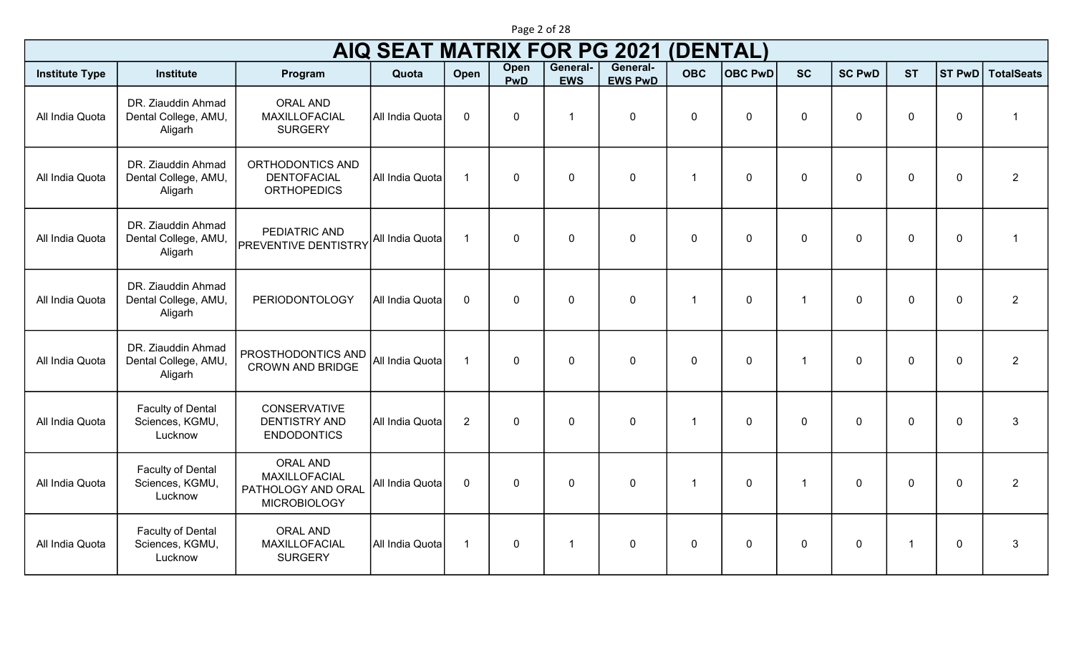|                       |                                                       |                                                                                      | <b>AIQ SEAT MATRIX FOR PG 2021</b> |                |                           |                        |                            | (DENTAL)     |                |                |               |                |                |                   |
|-----------------------|-------------------------------------------------------|--------------------------------------------------------------------------------------|------------------------------------|----------------|---------------------------|------------------------|----------------------------|--------------|----------------|----------------|---------------|----------------|----------------|-------------------|
| <b>Institute Type</b> | <b>Institute</b>                                      | Program                                                                              | Quota                              | Open           | <b>Open</b><br><b>PwD</b> | General-<br><b>EWS</b> | General-<br><b>EWS PwD</b> | <b>OBC</b>   | <b>OBC PwD</b> | <b>SC</b>      | <b>SC PwD</b> | <b>ST</b>      | <b>ST PwD</b>  | <b>TotalSeats</b> |
| All India Quota       | DR. Ziauddin Ahmad<br>Dental College, AMU,<br>Aligarh | <b>ORAL AND</b><br>MAXILLOFACIAL<br><b>SURGERY</b>                                   | All India Quota                    | $\mathbf 0$    | $\mathbf 0$               | $\overline{1}$         | $\mathbf 0$                | $\mathbf{0}$ | $\mathbf{0}$   | $\mathbf{0}$   | $\mathbf{0}$  | $\mathbf 0$    | $\mathbf 0$    | -1                |
| All India Quota       | DR. Ziauddin Ahmad<br>Dental College, AMU,<br>Aligarh | ORTHODONTICS AND<br><b>DENTOFACIAL</b><br><b>ORTHOPEDICS</b>                         | All India Quota                    | $\overline{1}$ | $\mathbf 0$               | $\mathbf 0$            | $\pmb{0}$                  | -1           | $\mathbf{0}$   | $\mathbf 0$    | $\mathbf 0$   | $\mathbf 0$    | $\overline{0}$ | $\overline{2}$    |
| All India Quota       | DR. Ziauddin Ahmad<br>Dental College, AMU,<br>Aligarh | PEDIATRIC AND<br><b>PREVENTIVE DENTISTRY</b>                                         | All India Quota                    | $\overline{1}$ | $\mathbf 0$               | $\mathbf 0$            | $\mathbf 0$                | $\mathbf{0}$ | $\mathbf 0$    | $\mathbf 0$    | $\mathbf 0$   | $\overline{0}$ | $\overline{0}$ | $\overline{1}$    |
| All India Quota       | DR. Ziauddin Ahmad<br>Dental College, AMU,<br>Aligarh | PERIODONTOLOGY                                                                       | All India Quota                    | $\mathbf 0$    | $\mathbf 0$               | $\mathbf 0$            | $\pmb{0}$                  | -1           | $\mathbf 0$    |                | $\Omega$      | $\overline{0}$ | $\mathbf 0$    | $\overline{2}$    |
| All India Quota       | DR. Ziauddin Ahmad<br>Dental College, AMU,<br>Aligarh | PROSTHODONTICS AND<br><b>CROWN AND BRIDGE</b>                                        | All India Quota                    | $\overline{1}$ | $\mathbf 0$               | $\mathbf 0$            | $\mathbf 0$                | $\mathbf 0$  | $\mathbf 0$    | $\overline{1}$ | $\Omega$      | $\overline{0}$ | $\overline{0}$ | $\overline{2}$    |
| All India Quota       | Faculty of Dental<br>Sciences, KGMU,<br>Lucknow       | <b>CONSERVATIVE</b><br><b>DENTISTRY AND</b><br><b>ENDODONTICS</b>                    | All India Quota                    | $\overline{2}$ | $\mathbf 0$               | $\mathbf 0$            | $\pmb{0}$                  | -1           | $\Omega$       | $\mathbf 0$    | $\mathbf 0$   | $\mathbf 0$    | $\mathbf 0$    | $\mathbf{3}$      |
| All India Quota       | Faculty of Dental<br>Sciences, KGMU,<br>Lucknow       | <b>ORAL AND</b><br><b>MAXILLOFACIAL</b><br>PATHOLOGY AND ORAL<br><b>MICROBIOLOGY</b> | All India Quota                    | $\mathbf 0$    | $\mathbf 0$               | $\mathbf 0$            | $\mathbf 0$                | -1           | $\mathbf 0$    | $\overline{1}$ | $\mathbf 0$   | $\overline{0}$ | $\overline{0}$ | $\overline{2}$    |
| All India Quota       | Faculty of Dental<br>Sciences, KGMU,<br>Lucknow       | <b>ORAL AND</b><br>MAXILLOFACIAL<br><b>SURGERY</b>                                   | All India Quota                    | $\overline{1}$ | $\mathbf 0$               | $\mathbf{1}$           | $\pmb{0}$                  | $\mathbf{0}$ | $\mathbf{0}$   | $\mathbf 0$    | $\mathbf 0$   | $\overline{1}$ | $\mathbf 0$    | $\mathbf{3}$      |

Page 2 of 28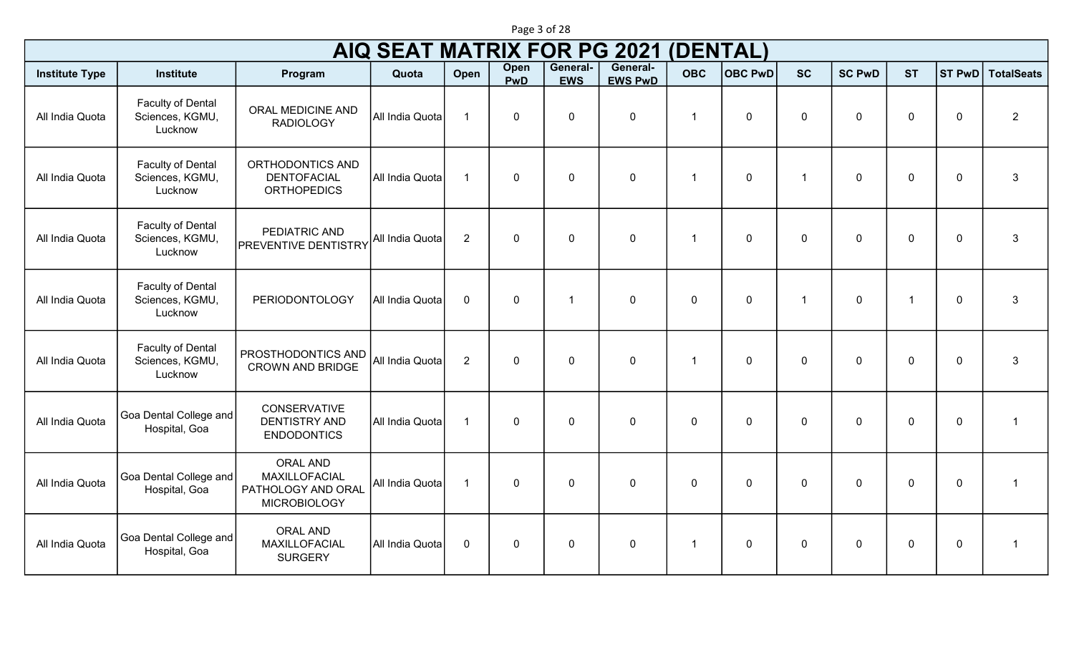|                       | Page 3 of 28                                           |                                                                               |                                    |                |             |                        |                            |                |                |                |               |                |             |                          |
|-----------------------|--------------------------------------------------------|-------------------------------------------------------------------------------|------------------------------------|----------------|-------------|------------------------|----------------------------|----------------|----------------|----------------|---------------|----------------|-------------|--------------------------|
|                       |                                                        |                                                                               | <b>AIQ SEAT MATRIX FOR PG 2021</b> |                |             |                        |                            | (DENTAL)       |                |                |               |                |             |                          |
| <b>Institute Type</b> | <b>Institute</b>                                       | Program                                                                       | Quota                              | Open           | Open<br>PwD | General-<br><b>EWS</b> | General-<br><b>EWS PwD</b> | <b>OBC</b>     | <b>OBC PwD</b> | <b>SC</b>      | <b>SC PwD</b> | <b>ST</b>      |             | <b>ST PwD</b> TotalSeats |
| All India Quota       | Faculty of Dental<br>Sciences, KGMU,<br>Lucknow        | ORAL MEDICINE AND<br><b>RADIOLOGY</b>                                         | All India Quota                    | $\overline{1}$ | $\mathbf 0$ | $\mathbf 0$            | $\pmb{0}$                  | 1              | $\mathbf 0$    | $\mathbf 0$    | $\mathbf 0$   | $\mathbf 0$    | $\mathbf 0$ | $\overline{2}$           |
| All India Quota       | Faculty of Dental<br>Sciences, KGMU,<br>Lucknow        | ORTHODONTICS AND<br><b>DENTOFACIAL</b><br><b>ORTHOPEDICS</b>                  | All India Quota                    | $\overline{1}$ | $\mathbf 0$ | $\mathbf 0$            | $\boldsymbol{0}$           | $\overline{1}$ | $\mathbf 0$    | $\mathbf{1}$   | $\Omega$      | $\mathbf 0$    | $\mathbf 0$ | 3                        |
| All India Quota       | Faculty of Dental<br>Sciences, KGMU,<br>Lucknow        | PEDIATRIC AND<br><b>PREVENTIVE DENTISTRY</b>                                  | All India Quota                    | $\overline{2}$ | $\mathbf 0$ | $\mathbf 0$            | $\mathbf 0$                | -1             | $\mathbf 0$    | $\mathbf 0$    | $\mathbf{0}$  | $\mathbf 0$    | $\mathbf 0$ | $\mathbf{3}$             |
| All India Quota       | Faculty of Dental<br>Sciences, KGMU,<br>Lucknow        | PERIODONTOLOGY                                                                | All India Quota                    | $\mathbf 0$    | $\mathbf 0$ | $\mathbf 1$            | $\pmb{0}$                  | $\mathbf 0$    | $\mathbf 0$    | $\overline{1}$ | $\mathbf 0$   | $\overline{1}$ | $\mathbf 0$ | $\mathbf{3}$             |
| All India Quota       | <b>Faculty of Dental</b><br>Sciences, KGMU,<br>Lucknow | PROSTHODONTICS AND<br><b>CROWN AND BRIDGE</b>                                 | All India Quota                    | $\overline{2}$ | $\mathbf 0$ | $\mathbf 0$            | $\mathbf 0$                | $\overline{1}$ | $\mathbf 0$    | $\mathbf 0$    | $\mathbf 0$   | $\mathbf 0$    | $\mathbf 0$ | $\mathbf{3}$             |
| All India Quota       | Goa Dental College and<br>Hospital, Goa                | <b>CONSERVATIVE</b><br><b>DENTISTRY AND</b><br><b>ENDODONTICS</b>             | All India Quota                    | $\overline{1}$ | $\mathbf 0$ | $\mathbf 0$            | $\boldsymbol{0}$           | $\mathbf 0$    | $\mathbf 0$    | $\Omega$       | $\Omega$      | $\mathbf 0$    | $\mathbf 0$ | $\mathbf{1}$             |
| All India Quota       | Goa Dental College and<br>Hospital, Goa                | <b>ORAL AND</b><br>MAXILLOFACIAL<br>PATHOLOGY AND ORAL<br><b>MICROBIOLOGY</b> | All India Quota                    | $\overline{1}$ | $\mathbf 0$ | $\mathbf 0$            | $\mathbf 0$                | $\mathbf 0$    | $\mathbf 0$    | $\Omega$       | $\Omega$      | $\mathbf 0$    | $\mathbf 0$ | $\mathbf{1}$             |
| All India Quota       | Goa Dental College and<br>Hospital, Goa                | <b>ORAL AND</b><br>MAXILLOFACIAL<br><b>SURGERY</b>                            | All India Quota                    | $\mathbf 0$    | $\mathbf 0$ | $\mathbf 0$            | $\pmb{0}$                  | $\mathbf{1}$   | $\mathbf 0$    | $\mathbf 0$    | $\mathbf 0$   | $\mathbf 0$    | $\mathbf 0$ | $\mathbf{1}$             |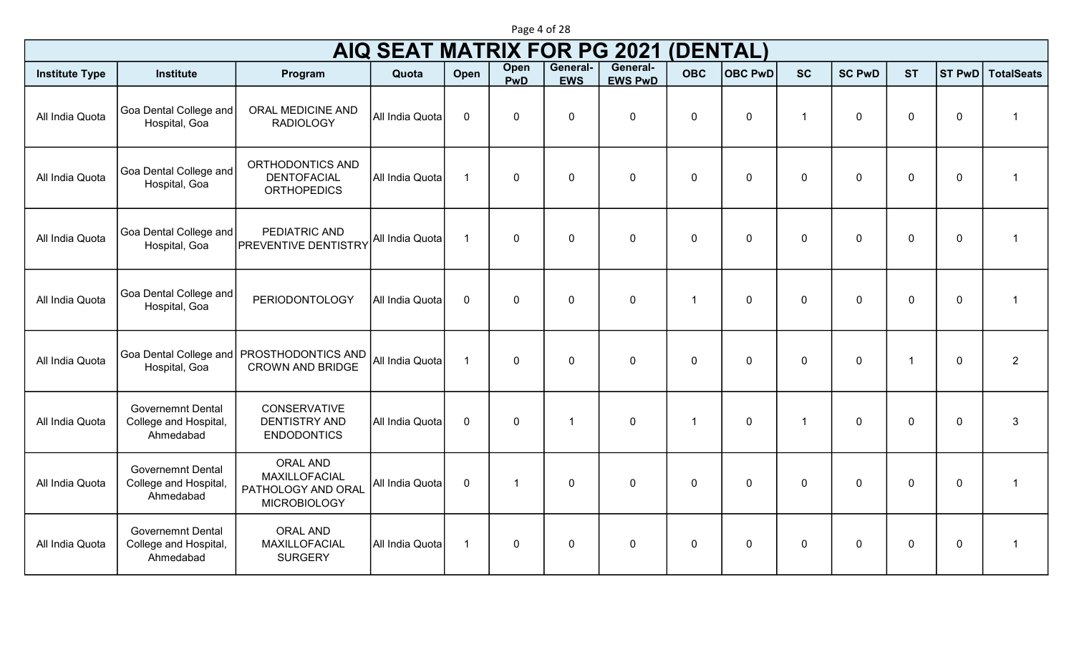|                       |                                                                |                                                                                      | <b>AIQ SEAT MATRIX FOR PG 2021</b> |                      |                           |                        |                            | (DENTAL)                |                |                |               |                |             |                         |
|-----------------------|----------------------------------------------------------------|--------------------------------------------------------------------------------------|------------------------------------|----------------------|---------------------------|------------------------|----------------------------|-------------------------|----------------|----------------|---------------|----------------|-------------|-------------------------|
| <b>Institute Type</b> | <b>Institute</b>                                               | Program                                                                              | Quota                              | Open                 | <b>Open</b><br><b>PwD</b> | General-<br><b>EWS</b> | General-<br><b>EWS PwD</b> | <b>OBC</b>              | <b>OBC PwD</b> | <b>SC</b>      | <b>SC PwD</b> | <b>ST</b>      | ST PwD      | <b>TotalSeats</b>       |
| All India Quota       | Goa Dental College and<br>Hospital, Goa                        | <b>ORAL MEDICINE AND</b><br><b>RADIOLOGY</b>                                         | All India Quota                    | $\mathbf 0$          | $\mathbf 0$               | $\overline{0}$         | $\mathbf 0$                | $\mathbf 0$             | $\mathbf 0$    | $\overline{1}$ | $\mathbf 0$   | $\overline{0}$ | $\mathbf 0$ | 1                       |
| All India Quota       | Goa Dental College and<br>Hospital, Goa                        | ORTHODONTICS AND<br><b>DENTOFACIAL</b><br><b>ORTHOPEDICS</b>                         | All India Quota                    | $\mathbf{1}$         | $\mathbf 0$               | $\overline{0}$         | $\mathbf 0$                | $\mathbf 0$             | $\mathbf 0$    | $\mathbf 0$    | $\mathbf 0$   | $\overline{0}$ | $\mathbf 0$ | 1                       |
| All India Quota       | Goa Dental College and<br>Hospital, Goa                        | PEDIATRIC AND<br><b>PREVENTIVE DENTISTRY</b>                                         | All India Quota                    | $\blacktriangleleft$ | $\Omega$                  | $\mathbf 0$            | $\mathbf 0$                | $\mathbf{0}$            | $\mathbf{0}$   | $\overline{0}$ | $\Omega$      | $\overline{0}$ | $\mathbf 0$ | 1                       |
| All India Quota       | Goa Dental College and<br>Hospital, Goa                        | <b>PERIODONTOLOGY</b>                                                                | All India Quota                    | $\mathbf 0$          | $\mathbf 0$               | $\mathbf 0$            | $\mathbf 0$                |                         | $\mathbf{0}$   | $\mathbf{0}$   | $\Omega$      | $\overline{0}$ | $\mathbf 0$ | $\overline{1}$          |
| All India Quota       | Goa Dental College and<br>Hospital, Goa                        | PROSTHODONTICS AND<br><b>CROWN AND BRIDGE</b>                                        | All India Quota                    | $\overline{1}$       | $\mathbf 0$               | $\mathbf 0$            | $\mathbf 0$                | $\mathbf 0$             | $\mathbf 0$    | $\mathbf 0$    | $\mathbf 0$   | $\overline{1}$ | $\mathbf 0$ | $\overline{2}$          |
| All India Quota       | <b>Governemnt Dental</b><br>College and Hospital,<br>Ahmedabad | <b>CONSERVATIVE</b><br><b>DENTISTRY AND</b><br><b>ENDODONTICS</b>                    | All India Quota                    | $\mathbf 0$          | $\mathbf 0$               | -1                     | $\mathbf 0$                | $\overline{\mathbf{1}}$ | $\mathbf 0$    | $\overline{1}$ | $\mathbf 0$   | $\mathbf 0$    | $\mathbf 0$ | 3                       |
| All India Quota       | <b>Governemnt Dental</b><br>College and Hospital,<br>Ahmedabad | <b>ORAL AND</b><br><b>MAXILLOFACIAL</b><br>PATHOLOGY AND ORAL<br><b>MICROBIOLOGY</b> | All India Quota                    | $\mathbf 0$          | -1                        | $\mathbf 0$            | $\mathbf 0$                | $\mathbf 0$             | $\mathbf{0}$   | $\mathbf{0}$   | $\mathbf 0$   | $\overline{0}$ | $\mathbf 0$ | $\overline{\mathbf{1}}$ |
| All India Quota       | <b>Governemnt Dental</b><br>College and Hospital,<br>Ahmedabad | <b>ORAL AND</b><br>MAXILLOFACIAL<br><b>SURGERY</b>                                   | All India Quota                    | $\mathbf{1}$         | $\mathbf 0$               | $\overline{0}$         | $\mathbf 0$                | $\mathbf 0$             | $\Omega$       | $\Omega$       | $\Omega$      | $\overline{0}$ | $\mathbf 0$ | -1                      |

Page 4 of 28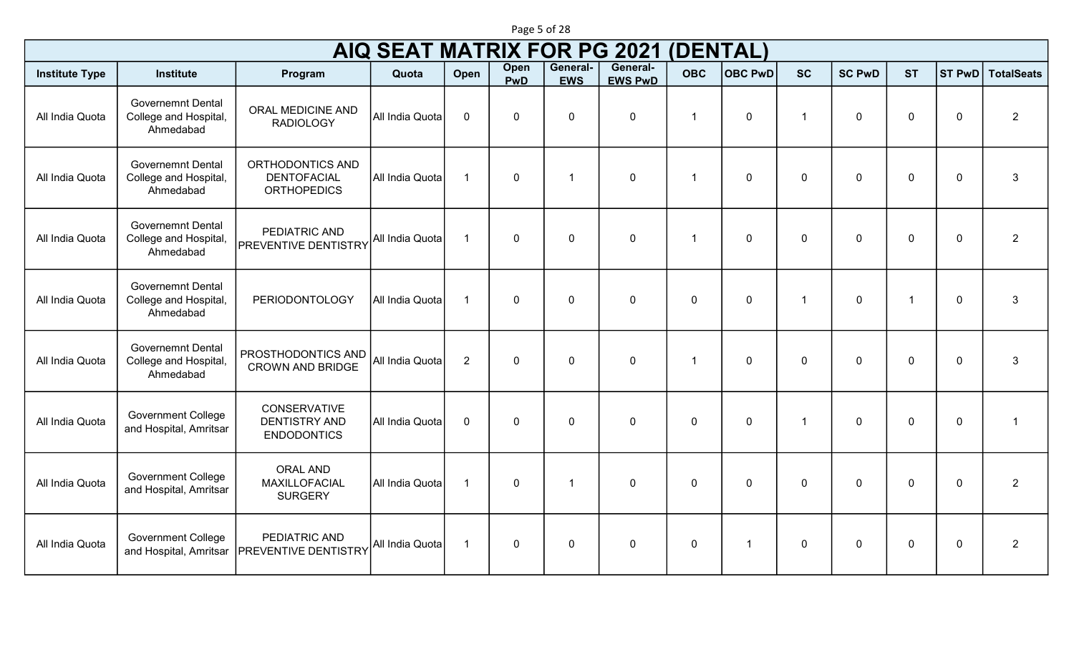|                       |                                                                |                                                              | <b>AIQ SEAT MATRIX FOR PG 2021</b> |                |                    |                        |                            | (DENTAL)       |                         |                |               |                |                  |                   |
|-----------------------|----------------------------------------------------------------|--------------------------------------------------------------|------------------------------------|----------------|--------------------|------------------------|----------------------------|----------------|-------------------------|----------------|---------------|----------------|------------------|-------------------|
| <b>Institute Type</b> | <b>Institute</b>                                               | Program                                                      | Quota                              | Open           | <b>Open</b><br>PwD | General-<br><b>EWS</b> | General-<br><b>EWS PwD</b> | <b>OBC</b>     | <b>OBC PwD</b>          | <b>SC</b>      | <b>SC PwD</b> | <b>ST</b>      | ST PwD           | <b>TotalSeats</b> |
| All India Quota       | <b>Governemnt Dental</b><br>College and Hospital,<br>Ahmedabad | ORAL MEDICINE AND<br><b>RADIOLOGY</b>                        | All India Quota                    | $\mathbf 0$    | $\mathbf 0$        | $\mathbf 0$            | $\pmb{0}$                  | $\overline{1}$ | $\mathbf 0$             | -1             | $\mathbf{0}$  | $\mathbf 0$    | $\boldsymbol{0}$ | $\overline{2}$    |
| All India Quota       | <b>Governemnt Dental</b><br>College and Hospital,<br>Ahmedabad | ORTHODONTICS AND<br><b>DENTOFACIAL</b><br><b>ORTHOPEDICS</b> | All India Quota                    | $\overline{1}$ | $\mathbf 0$        | $\overline{1}$         | $\pmb{0}$                  | -1             | $\overline{0}$          | $\mathbf{0}$   | $\mathbf{0}$  | $\mathbf 0$    | $\boldsymbol{0}$ | 3                 |
| All India Quota       | <b>Governemnt Dental</b><br>College and Hospital,<br>Ahmedabad | PEDIATRIC AND<br>PREVENTIVE DENTISTRY All India Quota        |                                    | $\overline{1}$ | $\mathbf{0}$       | $\Omega$               | $\mathbf 0$                | $\overline{1}$ | $\overline{0}$          | $\Omega$       | $\mathbf{0}$  | $\overline{0}$ | $\boldsymbol{0}$ | $2^{\circ}$       |
| All India Quota       | <b>Governemnt Dental</b><br>College and Hospital,<br>Ahmedabad | <b>PERIODONTOLOGY</b>                                        | All India Quota                    | $\overline{1}$ | $\mathbf 0$        | $\mathbf 0$            | $\pmb{0}$                  | $\mathbf{0}$   | $\mathbf{0}$            | 1              | $\mathbf{0}$  | $\overline{1}$ | $\pmb{0}$        | $\mathfrak{S}$    |
| All India Quota       | <b>Governemnt Dental</b><br>College and Hospital,<br>Ahmedabad | PROSTHODONTICS AND<br><b>CROWN AND BRIDGE</b>                | All India Quota                    | $\overline{2}$ | $\mathbf 0$        | $\mathbf 0$            | $\pmb{0}$                  | -1             | $\mathbf{0}$            | $\mathbf{0}$   | $\mathbf{0}$  | $\overline{0}$ | $\boldsymbol{0}$ | 3                 |
| All India Quota       | <b>Government College</b><br>and Hospital, Amritsar            | CONSERVATIVE<br><b>DENTISTRY AND</b><br><b>ENDODONTICS</b>   | All India Quota                    | $\mathbf 0$    | $\mathbf 0$        | $\mathbf 0$            | $\mathbf 0$                | $\mathbf{0}$   | $\mathbf 0$             | $\overline{1}$ | $\mathbf{0}$  | $\overline{0}$ | $\mathbf 0$      | $\overline{1}$    |
| All India Quota       | <b>Government College</b><br>and Hospital, Amritsar            | <b>ORAL AND</b><br>MAXILLOFACIAL<br><b>SURGERY</b>           | All India Quota                    | $\overline{1}$ | $\mathbf 0$        | -1                     | $\mathbf 0$                | $\mathbf{0}$   | $\mathbf{0}$            | $\mathbf{0}$   | $\mathbf{0}$  | $\mathbf 0$    | $\pmb{0}$        | $\overline{2}$    |
| All India Quota       | <b>Government College</b><br>and Hospital, Amritsar            | PEDIATRIC AND<br>PREVENTIVE DENTISTRY                        | All India Quota                    | $\overline{1}$ | $\mathbf 0$        | $\mathbf 0$            | $\boldsymbol{0}$           | $\mathbf 0$    | $\overline{\mathbf{1}}$ | $\mathbf 0$    | $\Omega$      | $\overline{0}$ | $\mathbf 0$      | $\overline{2}$    |

Page 5 of 28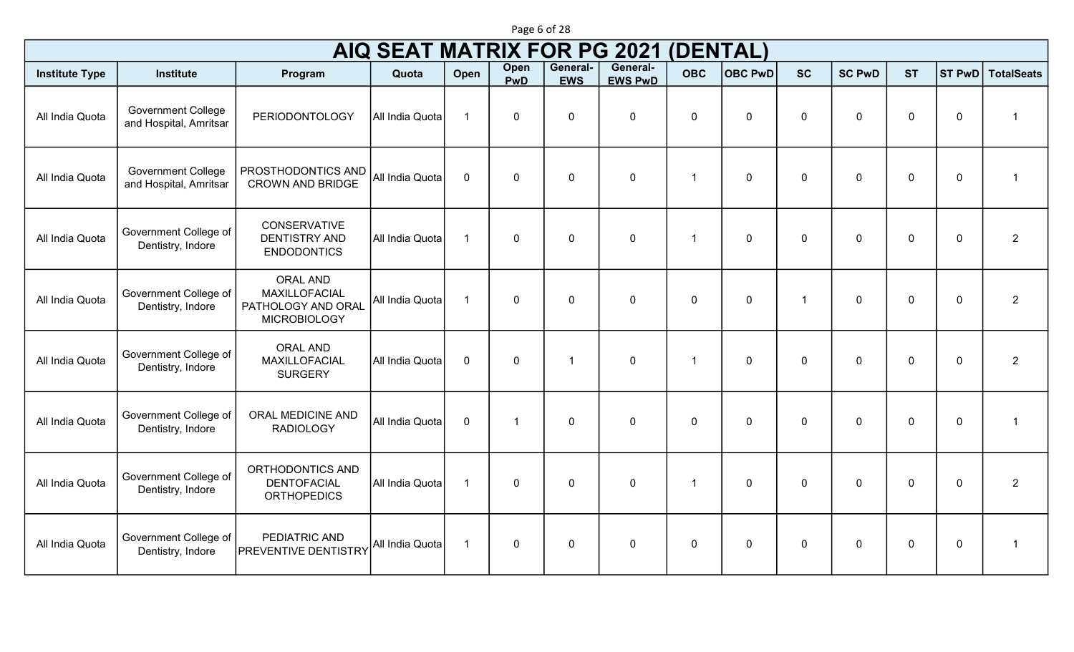|                       |                                                     |                                                                               | <b>AIQ SEAT MATRIX FOR PG 2021</b> |                      |                    |                        |                            | <b>(DENTAL)</b> |                |                      |               |                |               |                   |
|-----------------------|-----------------------------------------------------|-------------------------------------------------------------------------------|------------------------------------|----------------------|--------------------|------------------------|----------------------------|-----------------|----------------|----------------------|---------------|----------------|---------------|-------------------|
| <b>Institute Type</b> | <b>Institute</b>                                    | Program                                                                       | Quota                              | Open                 | Open<br><b>PwD</b> | General-<br><b>EWS</b> | General-<br><b>EWS PwD</b> | <b>OBC</b>      | <b>OBC PwD</b> | <b>SC</b>            | <b>SC PwD</b> | <b>ST</b>      | <b>ST PwD</b> | <b>TotalSeats</b> |
| All India Quota       | <b>Government College</b><br>and Hospital, Amritsar | <b>PERIODONTOLOGY</b>                                                         | All India Quota                    | $\overline{1}$       | $\mathbf 0$        | $\mathbf 0$            | $\mathbf 0$                | $\mathbf 0$     | $\mathbf 0$    | $\mathbf 0$          | $\mathbf 0$   | $\overline{0}$ | $\mathbf 0$   | $\overline{1}$    |
| All India Quota       | <b>Government College</b><br>and Hospital, Amritsar | PROSTHODONTICS AND<br><b>CROWN AND BRIDGE</b>                                 | All India Quota                    | $\mathbf 0$          | $\mathbf 0$        | $\mathbf 0$            | $\mathbf 0$                | -1              | $\mathbf 0$    | $\mathbf 0$          | $\mathbf 0$   | $\overline{0}$ | $\mathbf 0$   | -1                |
| All India Quota       | Government College of<br>Dentistry, Indore          | <b>CONSERVATIVE</b><br><b>DENTISTRY AND</b><br><b>ENDODONTICS</b>             | All India Quota                    | $\overline{1}$       | $\mathbf{0}$       | $\mathbf 0$            | $\mathbf 0$                | -1              | $\mathbf 0$    | $\overline{0}$       | $\mathbf{0}$  | $\mathbf 0$    | $\mathbf 0$   | $\overline{2}$    |
| All India Quota       | Government College of<br>Dentistry, Indore          | <b>ORAL AND</b><br>MAXILLOFACIAL<br>PATHOLOGY AND ORAL<br><b>MICROBIOLOGY</b> | All India Quota                    | $\blacktriangleleft$ | $\mathbf 0$        | $\mathbf 0$            | $\mathbf 0$                | $\mathbf{0}$    | $\mathbf 0$    | $\blacktriangleleft$ | $\mathbf 0$   | $\overline{0}$ | $\mathbf 0$   | $\overline{2}$    |
| All India Quota       | Government College of<br>Dentistry, Indore          | <b>ORAL AND</b><br>MAXILLOFACIAL<br><b>SURGERY</b>                            | All India Quota                    | $\mathbf 0$          | $\mathbf 0$        | -1                     | $\mathbf 0$                | -1              | $\mathbf 0$    | $\Omega$             | $\Omega$      | $\overline{0}$ | $\mathbf 0$   | $\overline{2}$    |
| All India Quota       | Government College of<br>Dentistry, Indore          | ORAL MEDICINE AND<br><b>RADIOLOGY</b>                                         | All India Quota                    | $\mathbf 0$          | $\mathbf{1}$       | $\mathbf 0$            | $\mathbf 0$                | $\mathbf 0$     | $\mathbf 0$    | $\mathbf 0$          | $\mathbf 0$   | $\overline{0}$ | $\mathbf 0$   | 1                 |
| All India Quota       | Government College of<br>Dentistry, Indore          | ORTHODONTICS AND<br><b>DENTOFACIAL</b><br><b>ORTHOPEDICS</b>                  | All India Quota                    | $\overline{1}$       | $\mathbf 0$        | $\mathbf 0$            | $\pmb{0}$                  | -1              | $\mathbf 0$    | $\mathbf 0$          | $\mathbf 0$   | $\overline{0}$ | $\mathbf 0$   | $\overline{2}$    |
| All India Quota       | Government College of<br>Dentistry, Indore          | PEDIATRIC AND<br><b>PREVENTIVE DENTISTRY</b>                                  | All India Quota                    | $\overline{1}$       | $\mathbf 0$        | $\mathbf 0$            | $\mathbf 0$                | $\mathbf 0$     | $\mathbf 0$    | $\mathbf 0$          | $\mathbf 0$   | $\overline{0}$ | $\mathbf 0$   |                   |

Page 6 of 28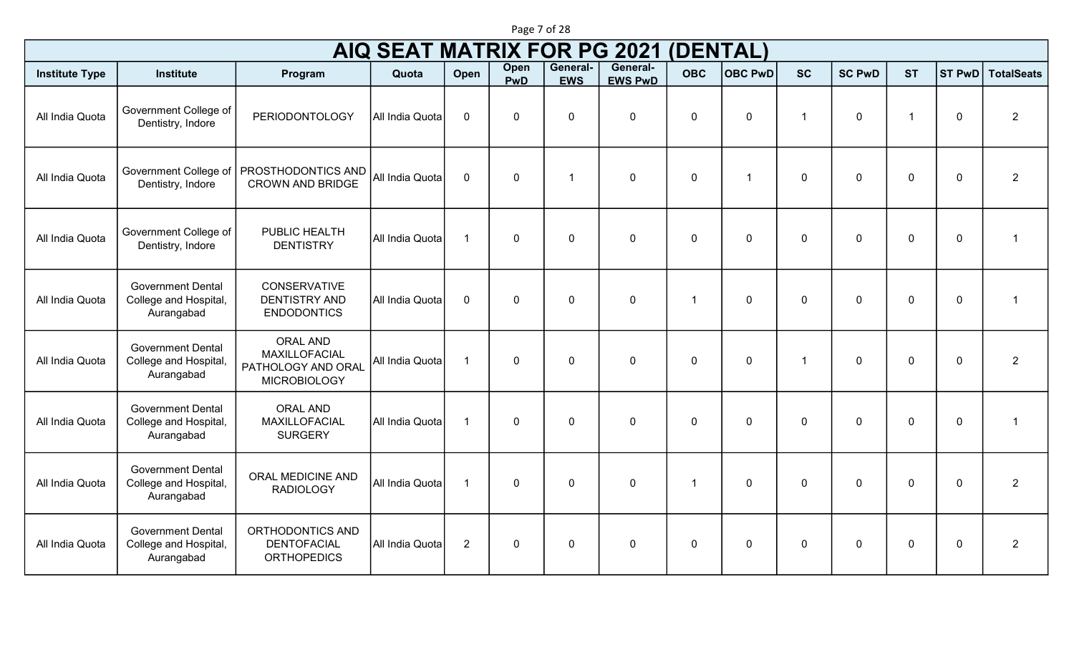|                       | <b>AIQ SEAT MATRIX FOR PG 2021</b><br>(DENTAL)                  |                                                                               |                 |                         |                    |                        |                            |             |                |              |               |                         |                |                   |
|-----------------------|-----------------------------------------------------------------|-------------------------------------------------------------------------------|-----------------|-------------------------|--------------------|------------------------|----------------------------|-------------|----------------|--------------|---------------|-------------------------|----------------|-------------------|
| <b>Institute Type</b> | <b>Institute</b>                                                | Program                                                                       | Quota           | Open                    | Open<br><b>PwD</b> | General-<br><b>EWS</b> | General-<br><b>EWS PwD</b> | <b>OBC</b>  | <b>OBC PwD</b> | <b>SC</b>    | <b>SC PwD</b> | <b>ST</b>               | <b>ST PwD</b>  | <b>TotalSeats</b> |
| All India Quota       | Government College of<br>Dentistry, Indore                      | <b>PERIODONTOLOGY</b>                                                         | All India Quota | $\mathbf 0$             | $\mathbf 0$        | $\mathbf 0$            | $\mathbf 0$                | $\Omega$    | $\Omega$       |              | $\Omega$      | $\overline{\mathbf{1}}$ | $\mathbf 0$    | $\overline{2}$    |
| All India Quota       | Government College of<br>Dentistry, Indore                      | <b>PROSTHODONTICS AND</b><br><b>CROWN AND BRIDGE</b>                          | All India Quota | $\mathbf 0$             | $\mathbf 0$        | $\overline{1}$         | $\mathbf 0$                | $\mathbf 0$ | -1             | $\mathbf 0$  | $\Omega$      | $\overline{0}$          | $\mathbf 0$    | $\overline{2}$    |
| All India Quota       | Government College of<br>Dentistry, Indore                      | PUBLIC HEALTH<br><b>DENTISTRY</b>                                             | All India Quota | $\overline{1}$          | $\mathbf 0$        | $\mathbf 0$            | $\mathbf 0$                | $\Omega$    | $\Omega$       | $\mathbf 0$  | $\mathbf 0$   | $\overline{0}$          | $\overline{0}$ | 1                 |
| All India Quota       | <b>Government Dental</b><br>College and Hospital,<br>Aurangabad | <b>CONSERVATIVE</b><br><b>DENTISTRY AND</b><br><b>ENDODONTICS</b>             | All India Quota | $\overline{0}$          | $\mathbf 0$        | $\mathbf 0$            | $\mathbf 0$                | -1          | $\Omega$       | $\Omega$     | $\Omega$      | $\overline{0}$          | $\overline{0}$ | 1                 |
| All India Quota       | <b>Government Dental</b><br>College and Hospital,<br>Aurangabad | <b>ORAL AND</b><br>MAXILLOFACIAL<br>PATHOLOGY AND ORAL<br><b>MICROBIOLOGY</b> | All India Quota | $\overline{1}$          | $\mathbf 0$        | $\mathbf 0$            | $\mathbf 0$                | $\Omega$    | $\Omega$       |              | $\Omega$      | $\overline{0}$          | $\overline{0}$ | $\overline{2}$    |
| All India Quota       | <b>Government Dental</b><br>College and Hospital,<br>Aurangabad | <b>ORAL AND</b><br>MAXILLOFACIAL<br><b>SURGERY</b>                            | All India Quota | $\overline{1}$          | $\mathbf 0$        | $\mathbf 0$            | $\mathbf 0$                | $\Omega$    | $\Omega$       | $\mathbf 0$  | $\mathbf 0$   | $\overline{0}$          | $\overline{0}$ | -1                |
| All India Quota       | <b>Government Dental</b><br>College and Hospital,<br>Aurangabad | ORAL MEDICINE AND<br><b>RADIOLOGY</b>                                         | All India Quota | $\overline{\mathbf{1}}$ | $\mathbf 0$        | $\mathbf 0$            | $\mathbf 0$                | -1          | $\Omega$       | $\mathbf{0}$ | $\Omega$      | $\overline{0}$          | $\overline{0}$ | $\overline{2}$    |
| All India Quota       | <b>Government Dental</b><br>College and Hospital,<br>Aurangabad | ORTHODONTICS AND<br><b>DENTOFACIAL</b><br><b>ORTHOPEDICS</b>                  | All India Quota | $\overline{2}$          | $\mathbf 0$        | $\mathbf 0$            | $\mathbf 0$                | $\Omega$    | $\Omega$       | $\mathbf{0}$ | $\mathbf{0}$  | $\overline{0}$          | $\mathbf 0$    | 2                 |

Page 7 of 28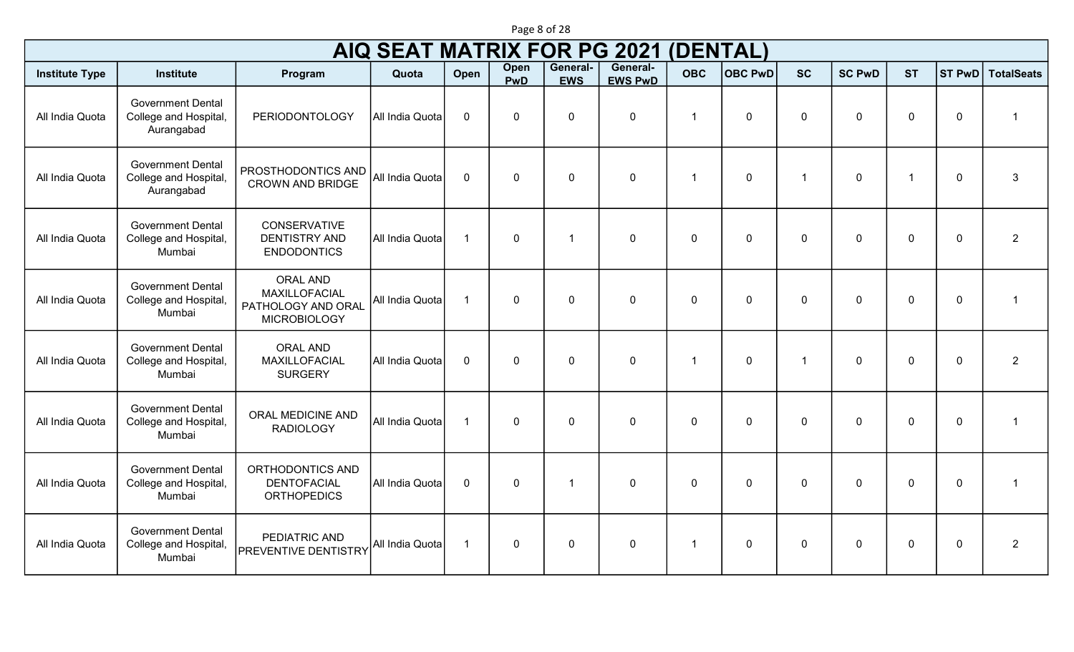|                       |                                                                 |                                                                                      | <b>AIQ SEAT MATRIX FOR PG 2021</b> |                      |                    |                        |                            | (DENTAL)    |                |                      |               |             |               |                   |
|-----------------------|-----------------------------------------------------------------|--------------------------------------------------------------------------------------|------------------------------------|----------------------|--------------------|------------------------|----------------------------|-------------|----------------|----------------------|---------------|-------------|---------------|-------------------|
| <b>Institute Type</b> | <b>Institute</b>                                                | Program                                                                              | Quota                              | Open                 | Open<br><b>PwD</b> | General-<br><b>EWS</b> | General-<br><b>EWS PwD</b> | <b>OBC</b>  | <b>OBC PwD</b> | <b>SC</b>            | <b>SC PwD</b> | <b>ST</b>   | <b>ST PwD</b> | <b>TotalSeats</b> |
| All India Quota       | <b>Government Dental</b><br>College and Hospital,<br>Aurangabad | <b>PERIODONTOLOGY</b>                                                                | All India Quota                    | $\mathbf 0$          | 0                  | 0                      | $\mathbf 0$                | -1          | 0              | 0                    | $\mathbf 0$   | $\mathbf 0$ | $\mathbf 0$   |                   |
| All India Quota       | <b>Government Dental</b><br>College and Hospital,<br>Aurangabad | PROSTHODONTICS AND<br><b>CROWN AND BRIDGE</b>                                        | All India Quota                    | $\mathbf 0$          | $\mathbf 0$        | $\mathbf 0$            | $\mathbf 0$                | -1          | $\mathbf 0$    | $\blacktriangleleft$ | 0             | -1          | $\mathbf 0$   | $\mathbf{3}$      |
| All India Quota       | <b>Government Dental</b><br>College and Hospital,<br>Mumbai     | <b>CONSERVATIVE</b><br><b>DENTISTRY AND</b><br><b>ENDODONTICS</b>                    | All India Quota                    | $\blacktriangleleft$ | $\mathbf 0$        | 1                      | $\mathbf 0$                | $\mathbf 0$ | $\mathbf 0$    | 0                    | 0             | $\mathbf 0$ | $\mathbf 0$   | $\overline{2}$    |
| All India Quota       | <b>Government Dental</b><br>College and Hospital,<br>Mumbai     | <b>ORAL AND</b><br><b>MAXILLOFACIAL</b><br>PATHOLOGY AND ORAL<br><b>MICROBIOLOGY</b> | All India Quota                    | $\overline{1}$       | $\mathbf 0$        | 0                      | $\mathbf 0$                | $\mathbf 0$ | $\mathbf 0$    | 0                    | 0             | $\mathbf 0$ | $\mathbf 0$   | $\overline{1}$    |
| All India Quota       | <b>Government Dental</b><br>College and Hospital,<br>Mumbai     | <b>ORAL AND</b><br>MAXILLOFACIAL<br><b>SURGERY</b>                                   | All India Quota                    | $\mathbf 0$          | $\mathbf 0$        | $\mathbf 0$            | $\mathbf 0$                | -1          | $\mathbf 0$    | 1                    | 0             | $\mathbf 0$ | $\mathbf 0$   | $\overline{2}$    |
| All India Quota       | <b>Government Dental</b><br>College and Hospital,<br>Mumbai     | ORAL MEDICINE AND<br><b>RADIOLOGY</b>                                                | All India Quota                    | $\overline{1}$       | $\mathbf 0$        | $\mathbf 0$            | $\mathbf 0$                | $\mathbf 0$ | $\mathbf 0$    | 0                    | 0             | $\mathbf 0$ | $\mathbf 0$   |                   |
| All India Quota       | <b>Government Dental</b><br>College and Hospital,<br>Mumbai     | ORTHODONTICS AND<br><b>DENTOFACIAL</b><br><b>ORTHOPEDICS</b>                         | All India Quota                    | $\mathbf{0}$         | $\mathbf 0$        | 1                      | $\mathbf 0$                | $\Omega$    | $\Omega$       | $\Omega$             | $\Omega$      | $\Omega$    | $\mathbf 0$   |                   |
| All India Quota       | <b>Government Dental</b><br>College and Hospital,<br>Mumbai     | PEDIATRIC AND<br>PREVENTIVE DENTISTRY                                                | All India Quota                    | $\overline{1}$       | $\mathbf 0$        | $\mathbf 0$            | $\mathbf 0$                |             | $\mathbf 0$    | 0                    | $\mathbf 0$   | $\mathbf 0$ | $\mathbf 0$   | $\overline{2}$    |

Page 8 of 28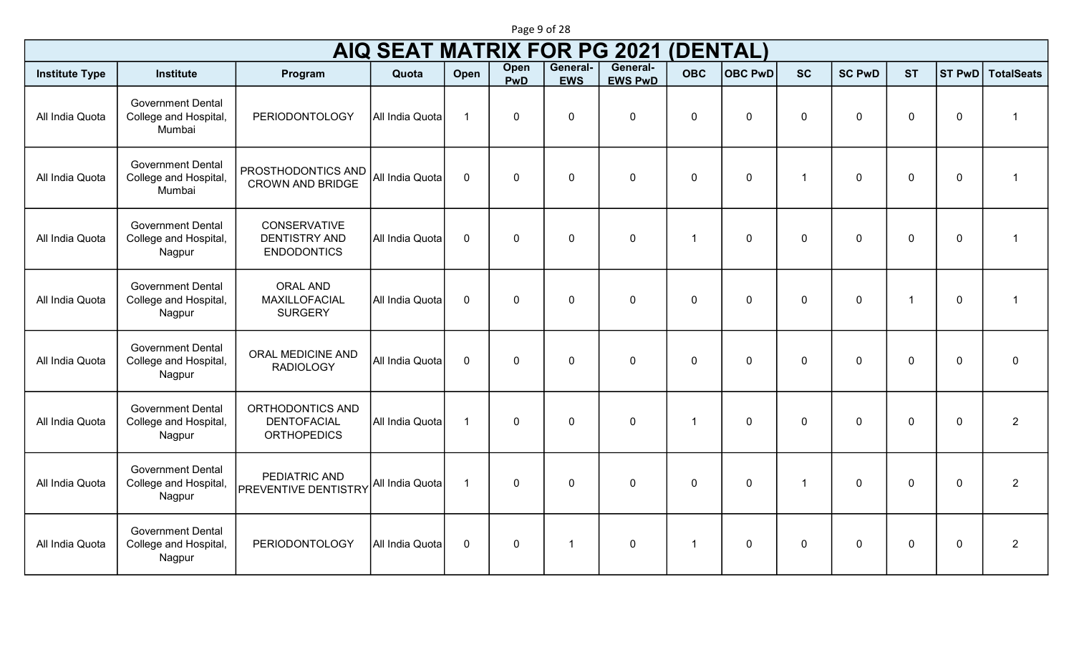|                       |                                                             |                                                                   | <b>AIQ SEAT MATRIX FOR PG 2021</b> |                |                    |                        |                            | (DENTAL)    |                |                      |               |                         |               |                   |
|-----------------------|-------------------------------------------------------------|-------------------------------------------------------------------|------------------------------------|----------------|--------------------|------------------------|----------------------------|-------------|----------------|----------------------|---------------|-------------------------|---------------|-------------------|
| <b>Institute Type</b> | <b>Institute</b>                                            | Program                                                           | Quota                              | Open           | Open<br><b>PwD</b> | General-<br><b>EWS</b> | General-<br><b>EWS PwD</b> | <b>OBC</b>  | <b>OBC PwD</b> | <b>SC</b>            | <b>SC PwD</b> | <b>ST</b>               | <b>ST PwD</b> | <b>TotalSeats</b> |
| All India Quota       | <b>Government Dental</b><br>College and Hospital,<br>Mumbai | PERIODONTOLOGY                                                    | All India Quota                    | $\overline{1}$ | $\mathbf 0$        | $\mathbf 0$            | $\mathbf 0$                | $\mathbf 0$ | $\mathbf 0$    | $\mathbf 0$          | $\mathbf 0$   | $\mathbf 0$             | $\mathbf 0$   | $\mathbf 1$       |
| All India Quota       | <b>Government Dental</b><br>College and Hospital,<br>Mumbai | PROSTHODONTICS AND<br><b>CROWN AND BRIDGE</b>                     | All India Quota                    | $\mathbf 0$    | $\mathbf 0$        | $\mathbf 0$            | $\mathbf 0$                | $\mathbf 0$ | $\mathbf 0$    | $\blacktriangleleft$ | $\Omega$      | $\mathbf 0$             | $\mathbf 0$   | $\mathbf{1}$      |
| All India Quota       | <b>Government Dental</b><br>College and Hospital,<br>Nagpur | <b>CONSERVATIVE</b><br><b>DENTISTRY AND</b><br><b>ENDODONTICS</b> | All India Quota                    | $\mathbf 0$    | $\mathbf 0$        | $\mathbf{0}$           | $\mathbf 0$                | -1          | $\mathbf 0$    | $\mathbf{0}$         | $\Omega$      | $\mathbf 0$             | $\mathbf 0$   | $\mathbf{1}$      |
| All India Quota       | <b>Government Dental</b><br>College and Hospital,<br>Nagpur | <b>ORAL AND</b><br>MAXILLOFACIAL<br><b>SURGERY</b>                | All India Quota                    | $\mathbf 0$    | $\mathbf 0$        | $\mathbf 0$            | $\mathbf 0$                | $\mathbf 0$ | $\mathbf 0$    | $\Omega$             | $\Omega$      | $\overline{\mathbf{1}}$ | $\mathbf 0$   | $\mathbf{1}$      |
| All India Quota       | <b>Government Dental</b><br>College and Hospital,<br>Nagpur | ORAL MEDICINE AND<br><b>RADIOLOGY</b>                             | All India Quota                    | $\mathbf 0$    | $\mathbf 0$        | $\mathbf 0$            | $\mathbf 0$                | $\mathbf 0$ | $\mathbf 0$    | $\mathbf 0$          | $\mathbf 0$   | $\mathbf 0$             | $\mathbf 0$   | $\mathbf 0$       |
| All India Quota       | <b>Government Dental</b><br>College and Hospital,<br>Nagpur | ORTHODONTICS AND<br><b>DENTOFACIAL</b><br><b>ORTHOPEDICS</b>      | All India Quota                    | $\overline{1}$ | $\mathbf 0$        | $\mathbf 0$            | $\mathbf 0$                | -1          | $\mathbf 0$    | $\mathbf{0}$         | $\mathbf 0$   | $\mathbf 0$             | $\mathbf 0$   | $\overline{2}$    |
| All India Quota       | <b>Government Dental</b><br>College and Hospital,<br>Nagpur | PEDIATRIC AND<br><b>PREVENTIVE DENTISTRY</b>                      | All India Quota                    | $\overline{1}$ | $\mathbf 0$        | $\mathbf 0$            | $\mathbf 0$                | $\mathbf 0$ | $\mathbf 0$    | $\overline{1}$       | $\mathbf 0$   | $\mathbf 0$             | $\mathbf 0$   | $\overline{2}$    |
| All India Quota       | <b>Government Dental</b><br>College and Hospital,<br>Nagpur | PERIODONTOLOGY                                                    | All India Quota                    | $\mathbf 0$    | $\mathbf 0$        | $\overline{1}$         | $\mathbf 0$                | -1          | $\mathbf 0$    | $\mathbf 0$          | $\mathbf{0}$  | $\mathbf 0$             | $\mathbf 0$   | $\overline{2}$    |

Page 9 of 28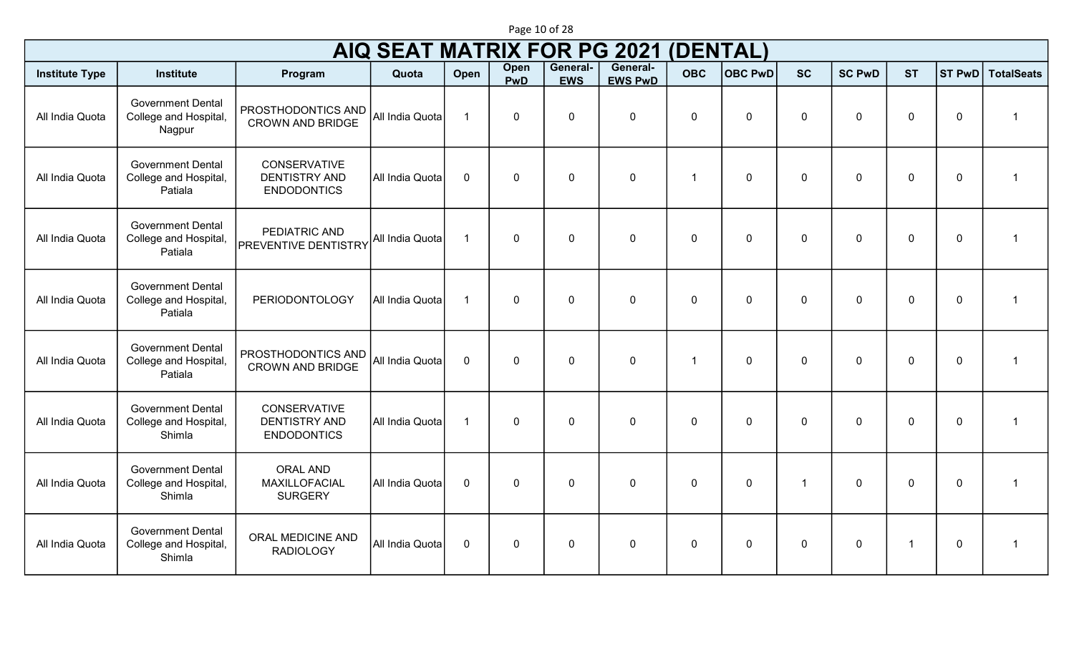|                       | <b>AIQ SEAT MATRIX FOR PG 2021</b><br><b>(DENTAL)</b>        |                                                                   |                 |                         |                    |                        |                            |              |                |                |               |              |               |                         |
|-----------------------|--------------------------------------------------------------|-------------------------------------------------------------------|-----------------|-------------------------|--------------------|------------------------|----------------------------|--------------|----------------|----------------|---------------|--------------|---------------|-------------------------|
| <b>Institute Type</b> | <b>Institute</b>                                             | Program                                                           | Quota           | Open                    | Open<br><b>PwD</b> | General-<br><b>EWS</b> | General-<br><b>EWS PwD</b> | <b>OBC</b>   | <b>OBC PwD</b> | <b>SC</b>      | <b>SC PwD</b> | <b>ST</b>    | <b>ST PwD</b> | <b>TotalSeats</b>       |
| All India Quota       | <b>Government Dental</b><br>College and Hospital,<br>Nagpur  | PROSTHODONTICS AND<br><b>CROWN AND BRIDGE</b>                     | All India Quota | $\overline{1}$          | $\mathbf 0$        | $\mathbf 0$            | $\mathbf 0$                | $\mathbf 0$  | $\mathbf 0$    | $\mathbf 0$    | $\mathbf 0$   | $\mathbf 0$  | $\mathbf 0$   | $\overline{1}$          |
| All India Quota       | <b>Government Dental</b><br>College and Hospital,<br>Patiala | <b>CONSERVATIVE</b><br><b>DENTISTRY AND</b><br><b>ENDODONTICS</b> | All India Quota | $\mathbf 0$             | $\mathbf 0$        | $\mathbf 0$            | $\mathbf 0$                | $\mathbf{1}$ | $\mathbf 0$    | $\mathbf 0$    | $\mathbf 0$   | 0            | $\mathbf 0$   | $\overline{1}$          |
| All India Quota       | <b>Government Dental</b><br>College and Hospital,<br>Patiala | PEDIATRIC AND<br><b>PREVENTIVE DENTISTRY</b>                      | All India Quota | $\overline{\mathbf{1}}$ | $\mathbf 0$        | $\mathbf 0$            | $\mathbf 0$                | $\mathbf 0$  | $\mathbf 0$    | $\mathbf 0$    | $\mathbf 0$   | 0            | $\mathbf 0$   | $\overline{1}$          |
| All India Quota       | <b>Government Dental</b><br>College and Hospital,<br>Patiala | PERIODONTOLOGY                                                    | All India Quota | $\overline{1}$          | 0                  | $\mathbf 0$            | $\mathbf 0$                | $\mathbf 0$  | $\mathbf 0$    | $\mathbf 0$    | $\mathbf 0$   | $\mathbf 0$  | $\mathbf 0$   | $\overline{1}$          |
| All India Quota       | <b>Government Dental</b><br>College and Hospital,<br>Patiala | PROSTHODONTICS AND<br><b>CROWN AND BRIDGE</b>                     | All India Quota | $\mathbf 0$             | $\mathbf 0$        | $\mathbf 0$            | $\mathbf 0$                | $\mathbf{1}$ | $\mathbf 0$    | $\mathbf 0$    | $\mathbf 0$   | $\mathbf{0}$ | $\mathbf 0$   | $\mathbf{1}$            |
| All India Quota       | <b>Government Dental</b><br>College and Hospital,<br>Shimla  | <b>CONSERVATIVE</b><br><b>DENTISTRY AND</b><br><b>ENDODONTICS</b> | All India Quota | $\overline{\mathbf{1}}$ | $\mathbf 0$        | $\mathbf 0$            | $\mathbf 0$                | $\mathbf 0$  | $\mathbf 0$    | $\mathbf 0$    | $\mathbf 0$   | $\mathbf 0$  | $\mathbf 0$   | $\overline{1}$          |
| All India Quota       | <b>Government Dental</b><br>College and Hospital,<br>Shimla  | <b>ORAL AND</b><br>MAXILLOFACIAL<br><b>SURGERY</b>                | All India Quota | $\mathbf 0$             | $\mathbf 0$        | 0                      | $\mathbf{0}$               | $\Omega$     | $\mathbf 0$    | $\overline{1}$ | $\mathbf 0$   | $\mathbf{0}$ | $\mathbf 0$   | $\overline{\mathbf{1}}$ |
| All India Quota       | <b>Government Dental</b><br>College and Hospital,<br>Shimla  | ORAL MEDICINE AND<br><b>RADIOLOGY</b>                             | All India Quota | $\mathbf 0$             | $\mathbf 0$        | $\mathbf{0}$           | 0                          | $\mathbf{0}$ | $\mathbf 0$    | $\mathbf 0$    | $\mathbf 0$   | $\mathbf{1}$ | $\mathbf 0$   | $\mathbf{1}$            |

Page 10 of 28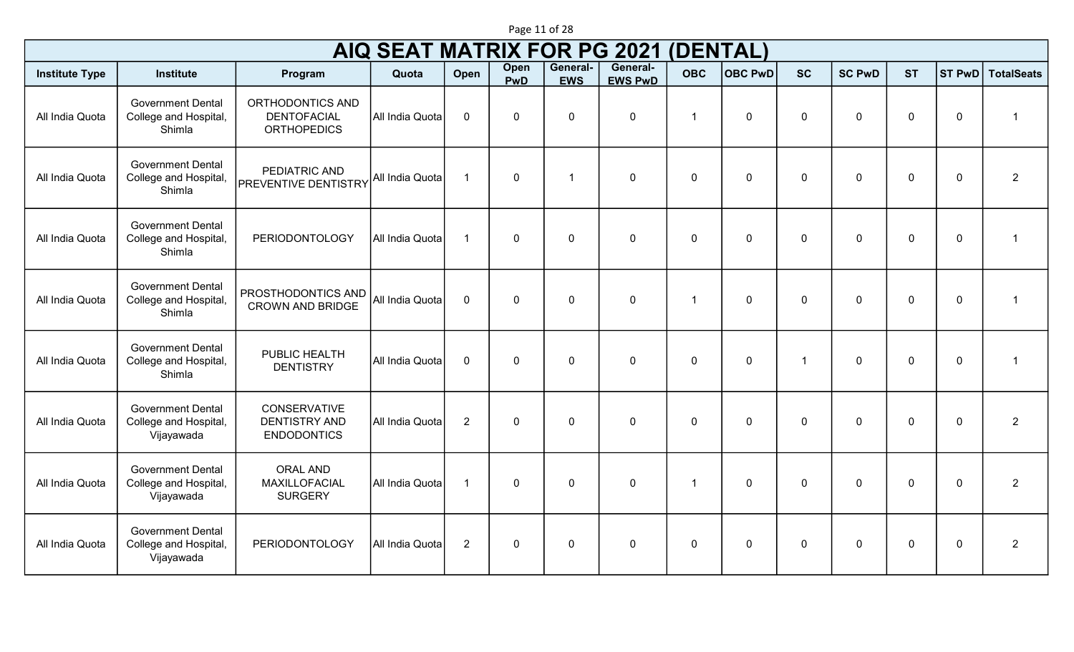|                       |                                                                 |                                                                   | <b>AIQ SEAT MATRIX FOR PG 2021</b> |                |                           |                        |                            | (DENTAL)       |                |              |               |                |                |                         |
|-----------------------|-----------------------------------------------------------------|-------------------------------------------------------------------|------------------------------------|----------------|---------------------------|------------------------|----------------------------|----------------|----------------|--------------|---------------|----------------|----------------|-------------------------|
| <b>Institute Type</b> | <b>Institute</b>                                                | Program                                                           | Quota                              | Open           | <b>Open</b><br><b>PwD</b> | General-<br><b>EWS</b> | General-<br><b>EWS PwD</b> | <b>OBC</b>     | <b>OBC PwD</b> | <b>SC</b>    | <b>SC PwD</b> | <b>ST</b>      | <b>ST PwD</b>  | <b>TotalSeats</b>       |
| All India Quota       | <b>Government Dental</b><br>College and Hospital,<br>Shimla     | ORTHODONTICS AND<br><b>DENTOFACIAL</b><br><b>ORTHOPEDICS</b>      | All India Quota                    | $\mathbf 0$    | $\mathbf{0}$              | $\mathbf{0}$           | $\mathbf 0$                | -1             | $\Omega$       | $\mathbf{0}$ | $\Omega$      | $\overline{0}$ | $\mathbf 0$    | -1                      |
| All India Quota       | <b>Government Dental</b><br>College and Hospital,<br>Shimla     | PEDIATRIC AND<br><b>PREVENTIVE DENTISTRY</b>                      | All India Quota                    | $\overline{1}$ | $\mathbf 0$               | $\overline{1}$         | $\mathbf 0$                | $\mathbf{0}$   | $\mathbf{0}$   | $\Omega$     | $\Omega$      | $\overline{0}$ | $\overline{0}$ | $\overline{2}$          |
| All India Quota       | <b>Government Dental</b><br>College and Hospital,<br>Shimla     | <b>PERIODONTOLOGY</b>                                             | All India Quota                    | $\overline{1}$ | $\Omega$                  | $\mathbf 0$            | $\mathbf 0$                | $\mathbf{0}$   | $\mathbf 0$    | $\mathbf 0$  | $\Omega$      | $\overline{0}$ | $\overline{0}$ | $\overline{\mathbf{1}}$ |
| All India Quota       | <b>Government Dental</b><br>College and Hospital,<br>Shimla     | PROSTHODONTICS AND<br><b>CROWN AND BRIDGE</b>                     | All India Quota                    | $\mathbf 0$    | $\Omega$                  | $\mathbf 0$            | $\mathbf 0$                | -1             | $\Omega$       | $\Omega$     | $\Omega$      | $\overline{0}$ | $\mathbf 0$    | $\overline{1}$          |
| All India Quota       | <b>Government Dental</b><br>College and Hospital,<br>Shimla     | PUBLIC HEALTH<br><b>DENTISTRY</b>                                 | All India Quota                    | $\mathbf 0$    | $\mathbf 0$               | $\mathbf 0$            | $\mathbf 0$                | $\Omega$       | $\Omega$       | -1           | $\Omega$      | $\overline{0}$ | $\overline{0}$ | -1                      |
| All India Quota       | <b>Government Dental</b><br>College and Hospital,<br>Vijayawada | <b>CONSERVATIVE</b><br><b>DENTISTRY AND</b><br><b>ENDODONTICS</b> | All India Quota                    | $\overline{2}$ | $\mathbf 0$               | $\mathbf 0$            | $\pmb{0}$                  | $\Omega$       | $\Omega$       | $\Omega$     | $\Omega$      | $\overline{0}$ | $\mathbf 0$    | $\overline{2}$          |
| All India Quota       | <b>Government Dental</b><br>College and Hospital,<br>Vijayawada | <b>ORAL AND</b><br>MAXILLOFACIAL<br><b>SURGERY</b>                | All India Quota                    | $\overline{1}$ | $\mathbf 0$               | $\mathbf 0$            | $\mathbf 0$                | $\overline{1}$ | $\Omega$       | $\Omega$     | $\Omega$      | $\overline{0}$ | $\overline{0}$ | $\overline{2}$          |
| All India Quota       | <b>Government Dental</b><br>College and Hospital,<br>Vijayawada | PERIODONTOLOGY                                                    | All India Quota                    | $\overline{2}$ | $\mathbf 0$               | $\mathbf 0$            | $\pmb{0}$                  | $\mathbf{0}$   | $\mathbf{0}$   | $\mathbf 0$  | $\mathbf 0$   | $\overline{0}$ | $\overline{0}$ | $\overline{2}$          |

Page 11 of 28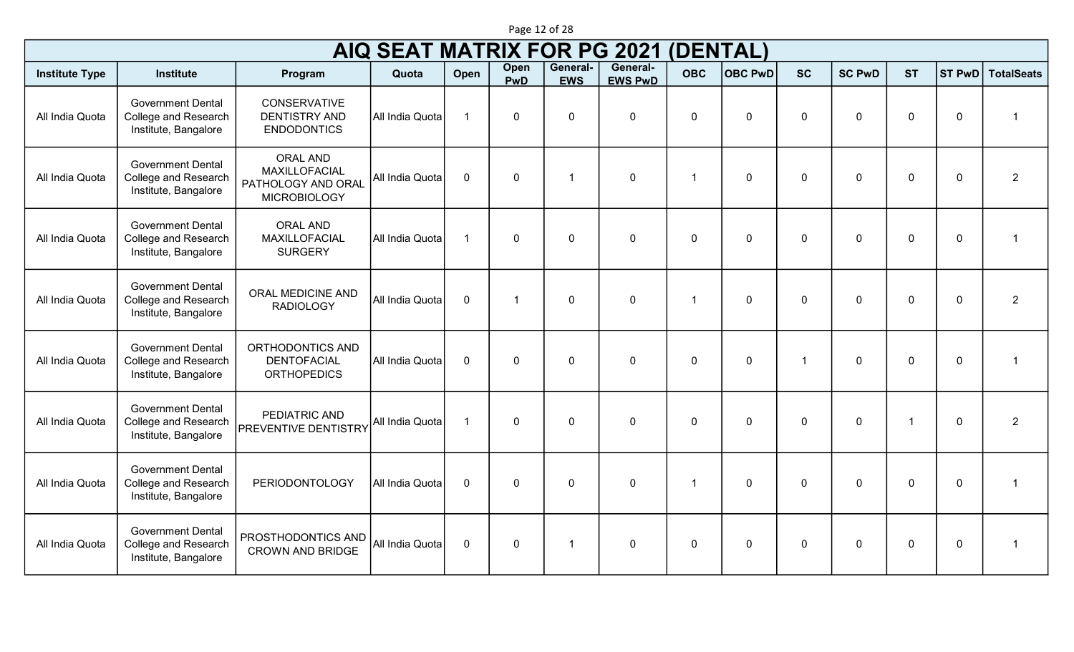|                       | Page 12 of 28                                                                   |                                                                               |                                    |                      |                    |                        |                            |                 |                |                      |               |                |                |                   |
|-----------------------|---------------------------------------------------------------------------------|-------------------------------------------------------------------------------|------------------------------------|----------------------|--------------------|------------------------|----------------------------|-----------------|----------------|----------------------|---------------|----------------|----------------|-------------------|
|                       |                                                                                 |                                                                               | <b>AIQ SEAT MATRIX FOR PG 2021</b> |                      |                    |                        |                            | <b>(DENTAL)</b> |                |                      |               |                |                |                   |
| <b>Institute Type</b> | <b>Institute</b>                                                                | Program                                                                       | Quota                              | Open                 | Open<br><b>PwD</b> | General-<br><b>EWS</b> | General-<br><b>EWS PwD</b> | <b>OBC</b>      | <b>OBC PwD</b> | <b>SC</b>            | <b>SC PwD</b> | <b>ST</b>      | <b>ST PwD</b>  | <b>TotalSeats</b> |
| All India Quota       | <b>Government Dental</b><br><b>College and Research</b><br>Institute, Bangalore | <b>CONSERVATIVE</b><br><b>DENTISTRY AND</b><br><b>ENDODONTICS</b>             | All India Quota                    | $\overline{1}$       | $\mathbf 0$        | $\mathbf 0$            | $\mathbf 0$                | $\mathbf 0$     | $\mathbf 0$    | $\mathbf 0$          | $\mathbf 0$   | $\overline{0}$ | $\overline{0}$ | -1                |
| All India Quota       | <b>Government Dental</b><br><b>College and Research</b><br>Institute, Bangalore | <b>ORAL AND</b><br>MAXILLOFACIAL<br>PATHOLOGY AND ORAL<br><b>MICROBIOLOGY</b> | All India Quota                    | $\mathbf 0$          | $\mathbf 0$        | -1                     | $\mathbf 0$                | -1              | $\mathbf{0}$   | $\mathbf 0$          | $\mathbf 0$   | $\overline{0}$ | $\mathbf 0$    | $\overline{2}$    |
| All India Quota       | <b>Government Dental</b><br><b>College and Research</b><br>Institute, Bangalore | <b>ORAL AND</b><br>MAXILLOFACIAL<br><b>SURGERY</b>                            | All India Quota                    | $\overline{1}$       | $\mathbf 0$        | $\mathbf 0$            | $\mathbf 0$                | $\mathbf 0$     | $\mathbf 0$    | $\mathbf 0$          | $\mathbf 0$   | $\overline{0}$ | $\overline{0}$ |                   |
| All India Quota       | <b>Government Dental</b><br><b>College and Research</b><br>Institute, Bangalore | ORAL MEDICINE AND<br><b>RADIOLOGY</b>                                         | All India Quota                    | $\mathbf 0$          | -1                 | $\mathbf 0$            | $\mathbf 0$                | -1              | $\mathbf 0$    | $\mathbf 0$          | $\mathbf 0$   | $\overline{0}$ | $\mathbf 0$    | $\overline{2}$    |
| All India Quota       | <b>Government Dental</b><br>College and Research<br>Institute, Bangalore        | ORTHODONTICS AND<br><b>DENTOFACIAL</b><br><b>ORTHOPEDICS</b>                  | All India Quota                    | $\mathbf 0$          | $\mathbf 0$        | $\mathbf 0$            | $\mathbf 0$                | $\mathbf 0$     | $\mathbf 0$    | $\blacktriangleleft$ | $\mathbf 0$   | $\overline{0}$ | $\overline{0}$ | -1                |
| All India Quota       | <b>Government Dental</b><br>College and Research<br>Institute, Bangalore        | PEDIATRIC AND<br><b>PREVENTIVE DENTISTRY</b>                                  | All India Quota                    | $\blacktriangleleft$ | $\mathbf 0$        | $\mathbf 0$            | $\mathbf 0$                | $\mathbf 0$     | $\mathbf 0$    | $\Omega$             | $\mathbf 0$   | $\overline{1}$ | $\mathbf 0$    | $\overline{2}$    |
| All India Quota       | <b>Government Dental</b><br>College and Research<br>Institute, Bangalore        | <b>PERIODONTOLOGY</b>                                                         | All India Quota                    | $\overline{0}$       | $\Omega$           | $\mathbf 0$            | $\mathbf 0$                | -1              | $\Omega$       | $\Omega$             | $\Omega$      | $\overline{0}$ | $\mathbf 0$    | $\overline{1}$    |
| All India Quota       | <b>Government Dental</b><br><b>College and Research</b><br>Institute, Bangalore | PROSTHODONTICS AND<br><b>CROWN AND BRIDGE</b>                                 | All India Quota                    | $\mathbf 0$          | $\mathbf 0$        | -1                     | $\mathbf 0$                | $\mathbf 0$     | $\mathbf 0$    | $\Omega$             | $\mathbf 0$   | $\overline{0}$ | $\overline{0}$ |                   |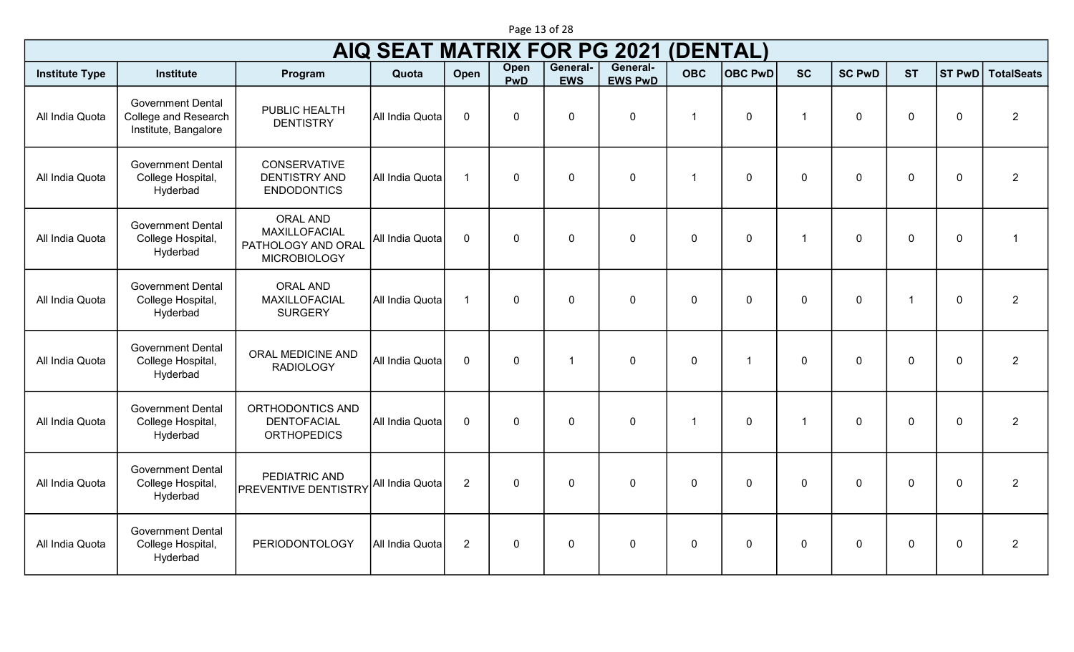|                       |                                                                          |                                                                               | <b>AIQ SEAT MATRIX FOR PG 2021</b> |                |                |                        |                            |                | <b>DENTAL)</b> |                          |               |                |               |                   |
|-----------------------|--------------------------------------------------------------------------|-------------------------------------------------------------------------------|------------------------------------|----------------|----------------|------------------------|----------------------------|----------------|----------------|--------------------------|---------------|----------------|---------------|-------------------|
| <b>Institute Type</b> | <b>Institute</b>                                                         | Program                                                                       | Quota                              | Open           | Open<br>PwD    | General-<br><b>EWS</b> | General-<br><b>EWS PwD</b> | <b>OBC</b>     | <b>OBC PwD</b> | <b>SC</b>                | <b>SC PwD</b> | <b>ST</b>      | <b>ST PwD</b> | <b>TotalSeats</b> |
| All India Quota       | <b>Government Dental</b><br>College and Research<br>Institute, Bangalore | PUBLIC HEALTH<br><b>DENTISTRY</b>                                             | All India Quota                    | $\mathbf 0$    | $\overline{0}$ | $\mathbf 0$            | 0                          | $\overline{1}$ | $\mathbf 0$    | $\overline{\phantom{a}}$ | 0             | $\Omega$       | $\mathbf 0$   | $\overline{2}$    |
| All India Quota       | <b>Government Dental</b><br>College Hospital,<br>Hyderbad                | CONSERVATIVE<br><b>DENTISTRY AND</b><br><b>ENDODONTICS</b>                    | All India Quota                    | $\overline{1}$ | 0              | $\mathbf 0$            | $\mathbf 0$                | $\overline{1}$ | $\mathbf 0$    | 0                        | 0             | $\mathbf 0$    | $\mathbf 0$   | $\overline{2}$    |
| All India Quota       | <b>Government Dental</b><br>College Hospital,<br>Hyderbad                | <b>ORAL AND</b><br>MAXILLOFACIAL<br>PATHOLOGY AND ORAL<br><b>MICROBIOLOGY</b> | All India Quota                    | $\mathbf 0$    | 0              | $\mathbf 0$            | $\mathbf 0$                | $\mathbf 0$    | $\mathbf 0$    | -1                       | 0             | $\mathbf 0$    | $\mathbf 0$   | $\overline{1}$    |
| All India Quota       | <b>Government Dental</b><br>College Hospital,<br>Hyderbad                | <b>ORAL AND</b><br>MAXILLOFACIAL<br><b>SURGERY</b>                            | All India Quota                    | $\overline{1}$ | 0              | $\overline{0}$         | $\mathbf 0$                | $\Omega$       | $\Omega$       | $\Omega$                 | 0             | $\overline{ }$ | $\mathbf 0$   | $\overline{2}$    |
| All India Quota       | <b>Government Dental</b><br>College Hospital,<br>Hyderbad                | ORAL MEDICINE AND<br><b>RADIOLOGY</b>                                         | All India Quota                    | $\mathbf 0$    | $\overline{0}$ | $\overline{1}$         | $\mathbf 0$                | $\Omega$       | $\overline{1}$ | 0                        | 0             | $\mathbf 0$    | $\mathbf 0$   | $\overline{2}$    |
| All India Quota       | <b>Government Dental</b><br>College Hospital,<br>Hyderbad                | ORTHODONTICS AND<br><b>DENTOFACIAL</b><br><b>ORTHOPEDICS</b>                  | All India Quota                    | $\mathbf 0$    | 0              | $\mathbf 0$            | $\mathbf 0$                | $\overline{1}$ | $\mathbf 0$    | -1                       | 0             | $\mathbf 0$    | $\mathbf 0$   | $\overline{2}$    |
| All India Quota       | <b>Government Dental</b><br>College Hospital,<br>Hyderbad                | PEDIATRIC AND<br><b>PREVENTIVE DENTISTRY</b>                                  | All India Quota                    | $\overline{2}$ | 0              | $\mathbf 0$            | $\mathbf 0$                | $\mathbf 0$    | $\mathbf 0$    | 0                        | 0             | $\mathbf 0$    | $\mathbf 0$   | $\overline{2}$    |
| All India Quota       | <b>Government Dental</b><br>College Hospital,<br>Hyderbad                | <b>PERIODONTOLOGY</b>                                                         | All India Quota                    | $\overline{2}$ | $\mathbf 0$    | 0                      | $\mathbf 0$                | $\Omega$       | $\Omega$       | $\Omega$                 | 0             | $\Omega$       | $\mathbf 0$   | $\overline{2}$    |

Page 13 of 28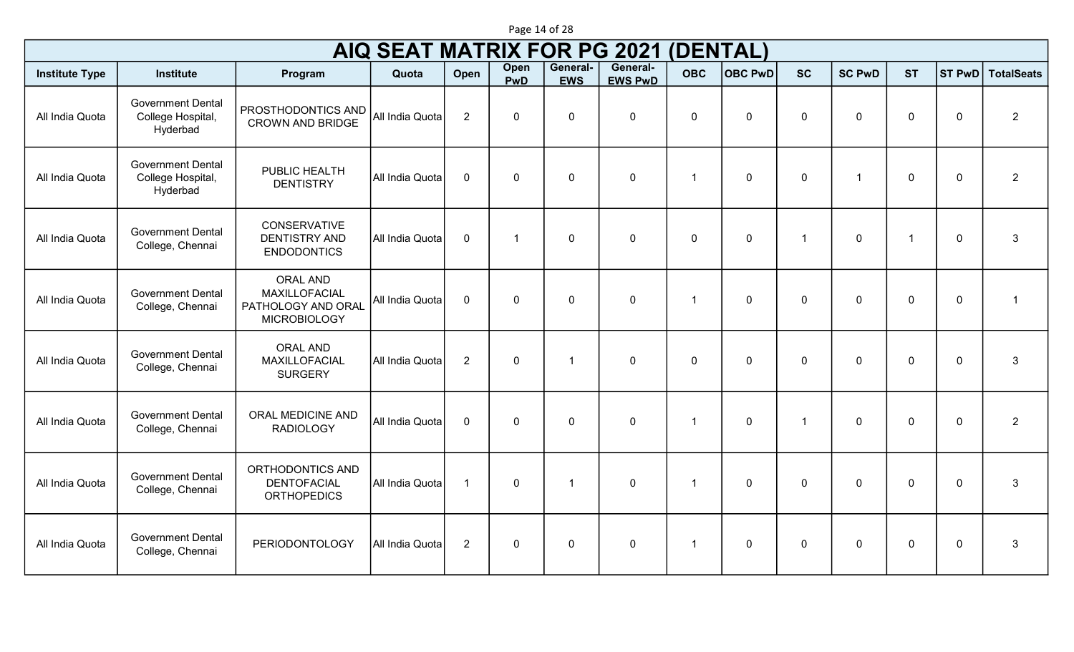|                       | <b>AIQ SEAT MATRIX FOR PG 2021</b><br><b>(DENTAL)</b><br>General-<br>General- |                                                                               |                 |                |                |                         |                |              |                |                |               |             |               |                   |  |
|-----------------------|-------------------------------------------------------------------------------|-------------------------------------------------------------------------------|-----------------|----------------|----------------|-------------------------|----------------|--------------|----------------|----------------|---------------|-------------|---------------|-------------------|--|
| <b>Institute Type</b> | <b>Institute</b>                                                              | Program                                                                       | Quota           | Open           | Open<br>PwD    | <b>EWS</b>              | <b>EWS PwD</b> | <b>OBC</b>   | <b>OBC PwD</b> | <b>SC</b>      | <b>SC PwD</b> | <b>ST</b>   | <b>ST PwD</b> | <b>TotalSeats</b> |  |
| All India Quota       | <b>Government Dental</b><br>College Hospital,<br>Hyderbad                     | PROSTHODONTICS AND<br><b>CROWN AND BRIDGE</b>                                 | All India Quota | $\overline{2}$ | $\mathbf 0$    | $\mathbf 0$             | $\mathbf 0$    | $\mathbf 0$  | $\mathbf 0$    | $\mathbf 0$    | $\Omega$      | $\mathbf 0$ | $\mathbf 0$   | $\overline{2}$    |  |
| All India Quota       | <b>Government Dental</b><br>College Hospital,<br>Hyderbad                     | PUBLIC HEALTH<br><b>DENTISTRY</b>                                             | All India Quota | $\mathbf 0$    | $\mathbf 0$    | $\mathbf 0$             | $\mathbf 0$    | $\mathbf{1}$ | $\mathbf 0$    | $\mathbf 0$    | $\mathbf{1}$  | $\mathbf 0$ | $\mathbf 0$   | $\overline{2}$    |  |
| All India Quota       | <b>Government Dental</b><br>College, Chennai                                  | <b>CONSERVATIVE</b><br><b>DENTISTRY AND</b><br><b>ENDODONTICS</b>             | All India Quota | $\mathbf 0$    | $\overline{1}$ | $\mathbf 0$             | $\mathbf 0$    | $\mathbf 0$  | $\mathbf 0$    | $\overline{1}$ | $\mathbf 0$   | 1           | $\mathbf 0$   | $\mathbf{3}$      |  |
| All India Quota       | <b>Government Dental</b><br>College, Chennai                                  | <b>ORAL AND</b><br>MAXILLOFACIAL<br>PATHOLOGY AND ORAL<br><b>MICROBIOLOGY</b> | All India Quota | $\mathbf 0$    | $\mathbf 0$    | $\mathbf 0$             | $\mathbf 0$    | $\mathbf{1}$ | $\mathbf 0$    | $\mathbf 0$    | $\mathbf 0$   | $\mathbf 0$ | $\mathbf 0$   | $\overline{1}$    |  |
| All India Quota       | <b>Government Dental</b><br>College, Chennai                                  | <b>ORAL AND</b><br>MAXILLOFACIAL<br><b>SURGERY</b>                            | All India Quota | $\overline{2}$ | $\mathbf 0$    | $\overline{\mathbf{1}}$ | $\mathbf 0$    | $\mathbf 0$  | $\mathbf 0$    | $\mathbf 0$    | $\mathbf 0$   | $\mathbf 0$ | $\mathbf 0$   | $\mathbf{3}$      |  |
| All India Quota       | <b>Government Dental</b><br>College, Chennai                                  | <b>ORAL MEDICINE AND</b><br><b>RADIOLOGY</b>                                  | All India Quota | $\mathbf 0$    | $\mathbf 0$    | $\mathbf 0$             | $\mathbf 0$    | $\mathbf 1$  | $\mathbf 0$    | $\mathbf{1}$   | $\mathbf 0$   | $\mathbf 0$ | $\mathbf 0$   | $\overline{2}$    |  |
| All India Quota       | <b>Government Dental</b><br>College, Chennai                                  | ORTHODONTICS AND<br><b>DENTOFACIAL</b><br><b>ORTHOPEDICS</b>                  | All India Quota | $\overline{1}$ | $\mathbf 0$    | $\overline{1}$          | $\mathbf 0$    | $\mathbf{1}$ | $\mathbf 0$    | $\mathbf 0$    | $\mathbf 0$   | $\mathbf 0$ | $\mathbf 0$   | $\mathbf{3}$      |  |
| All India Quota       | <b>Government Dental</b><br>College, Chennai                                  | <b>PERIODONTOLOGY</b>                                                         | All India Quota | $\overline{2}$ | $\pmb{0}$      | $\mathbf 0$             | $\mathbf 0$    | $\mathbf{1}$ | $\mathbf 0$    | $\mathbf 0$    | $\mathbf 0$   | $\mathbf 0$ | $\mathbf 0$   | $\mathbf{3}$      |  |

Page 14 of 28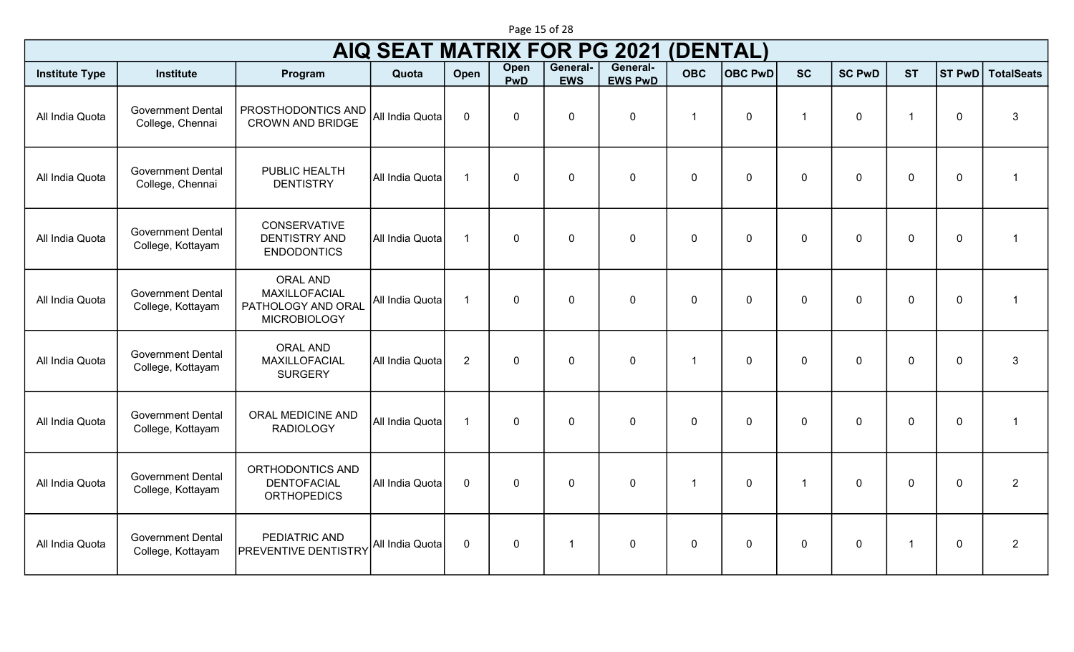|                       | (DENTAL)<br>AIQ SEAT MATRIX FOR PG 2021<br>General-<br>General-<br>Open |                                                                               |                 |                |                |             |                |                |                |                |               |              |               |                         |  |
|-----------------------|-------------------------------------------------------------------------|-------------------------------------------------------------------------------|-----------------|----------------|----------------|-------------|----------------|----------------|----------------|----------------|---------------|--------------|---------------|-------------------------|--|
| <b>Institute Type</b> | <b>Institute</b>                                                        | Program                                                                       | Quota           | Open           | PwD            | <b>EWS</b>  | <b>EWS PwD</b> | <b>OBC</b>     | <b>OBC PwD</b> | <b>SC</b>      | <b>SC PwD</b> | <b>ST</b>    | <b>ST PwD</b> | <b>TotalSeats</b>       |  |
| All India Quota       | <b>Government Dental</b><br>College, Chennai                            | PROSTHODONTICS AND<br><b>CROWN AND BRIDGE</b>                                 | All India Quota | $\mathbf 0$    | $\overline{0}$ | $\mathbf 0$ | $\mathbf 0$    | $\mathbf 1$    | $\mathbf 0$    | $\overline{1}$ | $\mathbf 0$   | 1            | $\mathbf 0$   | $\mathbf{3}$            |  |
| All India Quota       | <b>Government Dental</b><br>College, Chennai                            | PUBLIC HEALTH<br><b>DENTISTRY</b>                                             | All India Quota | $\overline{1}$ | 0              | $\mathbf 0$ | $\mathbf 0$    | $\mathbf 0$    | $\mathbf 0$    | $\mathbf 0$    | $\pmb{0}$     | $\mathbf 0$  | $\mathbf 0$   | $\overline{1}$          |  |
| All India Quota       | <b>Government Dental</b><br>College, Kottayam                           | CONSERVATIVE<br><b>DENTISTRY AND</b><br><b>ENDODONTICS</b>                    | All India Quota | $\overline{1}$ | 0              | $\mathbf 0$ | $\mathbf 0$    | $\mathbf 0$    | $\mathbf 0$    | $\mathbf 0$    | $\mathbf 0$   | $\mathbf 0$  | $\mathbf 0$   | $\overline{1}$          |  |
| All India Quota       | <b>Government Dental</b><br>College, Kottayam                           | <b>ORAL AND</b><br>MAXILLOFACIAL<br>PATHOLOGY AND ORAL<br><b>MICROBIOLOGY</b> | All India Quota | $\overline{1}$ | 0              | $\mathbf 0$ | $\mathbf 0$    | $\mathbf 0$    | $\mathbf 0$    | $\mathbf 0$    | $\mathbf 0$   | $\mathbf 0$  | $\mathbf 0$   | $\overline{\mathbf{1}}$ |  |
| All India Quota       | <b>Government Dental</b><br>College, Kottayam                           | <b>ORAL AND</b><br>MAXILLOFACIAL<br><b>SURGERY</b>                            | All India Quota | $\overline{2}$ | 0              | 0           | $\mathbf 0$    | $\overline{1}$ | $\mathbf 0$    | $\mathbf 0$    | $\mathbf 0$   | $\mathbf 0$  | $\mathbf 0$   | $\mathbf{3}$            |  |
| All India Quota       | <b>Government Dental</b><br>College, Kottayam                           | ORAL MEDICINE AND<br><b>RADIOLOGY</b>                                         | All India Quota | $\overline{1}$ | $\overline{0}$ | $\mathbf 0$ | $\mathbf 0$    | $\mathbf 0$    | $\mathbf 0$    | $\mathbf 0$    | $\mathbf 0$   | $\mathbf 0$  | $\mathbf 0$   | $\overline{1}$          |  |
| All India Quota       | <b>Government Dental</b><br>College, Kottayam                           | ORTHODONTICS AND<br><b>DENTOFACIAL</b><br><b>ORTHOPEDICS</b>                  | All India Quota | $\mathbf 0$    | 0              | $\mathbf 0$ | $\mathbf 0$    | $\mathbf{1}$   | $\mathbf 0$    | $\mathbf{1}$   | $\mathbf 0$   | $\mathbf{0}$ | $\mathbf 0$   | $\overline{2}$          |  |
| All India Quota       | <b>Government Dental</b><br>College, Kottayam                           | PEDIATRIC AND<br><b>PREVENTIVE DENTISTRY</b>                                  | All India Quota | $\mathbf 0$    | 0              | 1           | 0              | $\mathbf 0$    | 0              | $\mathbf 0$    | $\mathbf 0$   | $\mathbf{1}$ | $\mathbf 0$   | $\overline{2}$          |  |

Page 15 of 28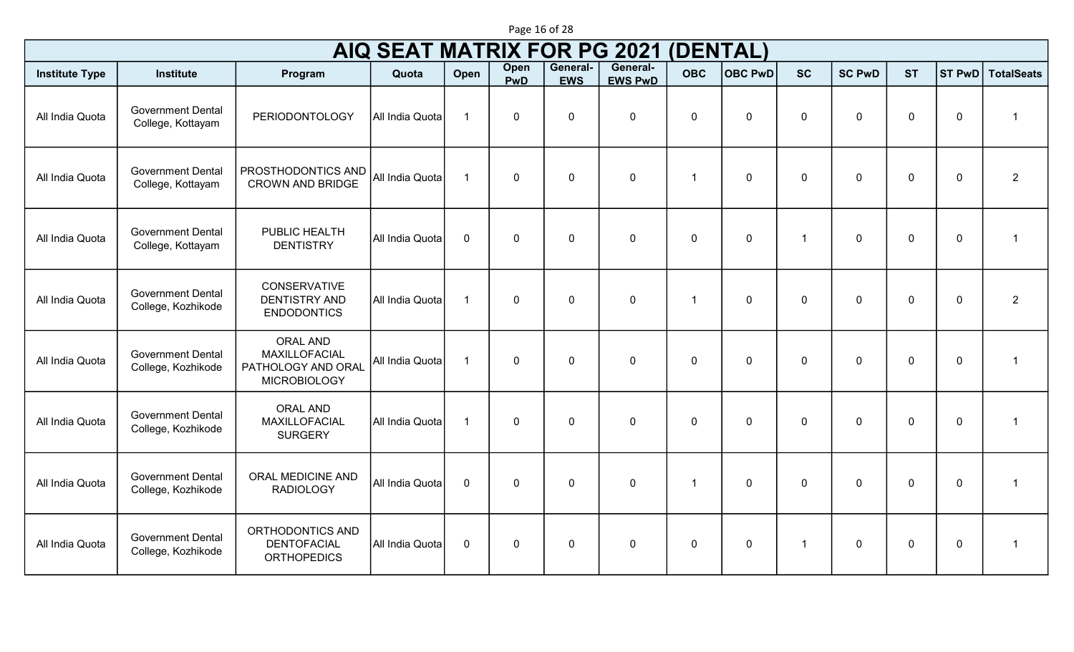|                       |                                                |                                                                               | <b>AIQ SEAT MATRIX FOR PG 2021</b> |                         |              |                        |                            | (DENTAL)       |                |              |               |             |               |                   |
|-----------------------|------------------------------------------------|-------------------------------------------------------------------------------|------------------------------------|-------------------------|--------------|------------------------|----------------------------|----------------|----------------|--------------|---------------|-------------|---------------|-------------------|
| <b>Institute Type</b> | <b>Institute</b>                               | Program                                                                       | Quota                              | Open                    | Open<br>PwD  | General-<br><b>EWS</b> | General-<br><b>EWS PwD</b> | <b>OBC</b>     | <b>OBC PwD</b> | <b>SC</b>    | <b>SC PwD</b> | <b>ST</b>   | <b>ST PwD</b> | <b>TotalSeats</b> |
| All India Quota       | <b>Government Dental</b><br>College, Kottayam  | PERIODONTOLOGY                                                                | All India Quota                    | $\overline{\mathbf{1}}$ | $\mathbf 0$  | $\mathbf 0$            | $\mathbf 0$                | $\mathbf 0$    | $\mathbf 0$    | $\mathbf 0$  | $\mathbf 0$   | $\mathbf 0$ | $\mathbf 0$   | $\overline{1}$    |
| All India Quota       | <b>Government Dental</b><br>College, Kottayam  | PROSTHODONTICS AND<br><b>CROWN AND BRIDGE</b>                                 | All India Quota                    | $\overline{1}$          | $\mathbf 0$  | $\mathbf 0$            | $\mathbf 0$                | $\overline{1}$ | $\Omega$       | $\mathbf 0$  | $\mathbf 0$   | $\mathbf 0$ | $\mathbf 0$   | $\overline{2}$    |
| All India Quota       | <b>Government Dental</b><br>College, Kottayam  | PUBLIC HEALTH<br><b>DENTISTRY</b>                                             | All India Quota                    | $\mathbf 0$             | $\mathbf 0$  | $\mathbf 0$            | $\mathbf 0$                | $\mathbf 0$    | $\mathbf 0$    | -1           | $\mathbf 0$   | $\mathbf 0$ | $\mathbf 0$   | $\mathbf{1}$      |
| All India Quota       | <b>Government Dental</b><br>College, Kozhikode | <b>CONSERVATIVE</b><br><b>DENTISTRY AND</b><br><b>ENDODONTICS</b>             | All India Quota                    | $\overline{1}$          | $\mathbf 0$  | $\mathbf 0$            | $\mathbf 0$                | $\overline{1}$ | $\mathbf 0$    | $\mathbf{0}$ | $\mathbf 0$   | $\mathbf 0$ | $\mathbf 0$   | $\overline{2}$    |
| All India Quota       | <b>Government Dental</b><br>College, Kozhikode | <b>ORAL AND</b><br>MAXILLOFACIAL<br>PATHOLOGY AND ORAL<br><b>MICROBIOLOGY</b> | All India Quota                    | $\overline{1}$          | $\mathbf{0}$ | $\mathbf 0$            | $\mathbf 0$                | $\mathbf{0}$   | $\mathbf{0}$   | $\Omega$     | $\Omega$      | $\mathbf 0$ | $\mathbf 0$   | $\overline{1}$    |
| All India Quota       | <b>Government Dental</b><br>College, Kozhikode | <b>ORAL AND</b><br>MAXILLOFACIAL<br><b>SURGERY</b>                            | All India Quota                    | $\overline{1}$          | $\mathbf 0$  | $\mathbf 0$            | $\mathbf 0$                | $\mathbf 0$    | $\mathbf 0$    | $\mathbf{0}$ | $\mathbf{0}$  | $\mathbf 0$ | $\mathbf 0$   | $\mathbf{1}$      |
| All India Quota       | <b>Government Dental</b><br>College, Kozhikode | ORAL MEDICINE AND<br><b>RADIOLOGY</b>                                         | All India Quota                    | $\mathbf 0$             | $\mathbf 0$  | $\mathbf 0$            | 0                          | $\overline{1}$ | $\mathbf{0}$   | $\mathbf{0}$ | $\mathbf{0}$  | $\mathbf 0$ | $\mathbf 0$   | $\mathbf{1}$      |
| All India Quota       | <b>Government Dental</b><br>College, Kozhikode | ORTHODONTICS AND<br><b>DENTOFACIAL</b><br><b>ORTHOPEDICS</b>                  | All India Quota                    | $\mathbf 0$             | $\mathbf 0$  | $\mathbf 0$            | $\mathbf 0$                | $\Omega$       | $\Omega$       | -1           | $\Omega$      | $\mathbf 0$ | $\mathbf 0$   | $\mathbf{1}$      |

Page 16 of 28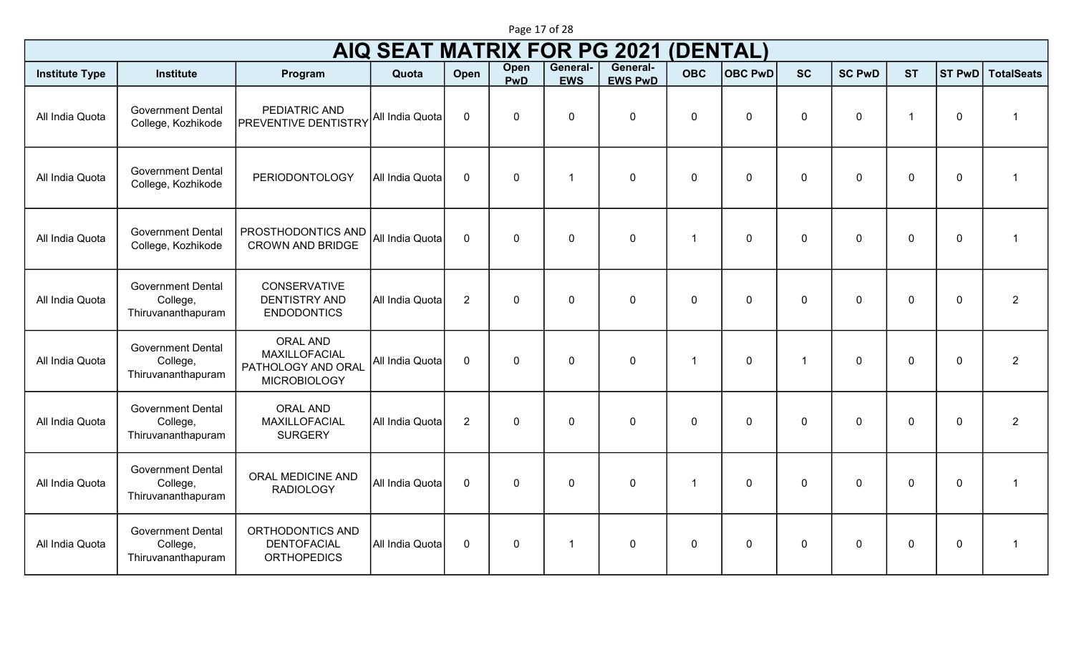|                       | <b>AIQ SEAT MATRIX FOR PG 2021</b><br><b>(DENTAL)</b>      |                                                                                      |                 |                |             |                        |                            |                |                |              |               |             |             |                   |  |
|-----------------------|------------------------------------------------------------|--------------------------------------------------------------------------------------|-----------------|----------------|-------------|------------------------|----------------------------|----------------|----------------|--------------|---------------|-------------|-------------|-------------------|--|
| <b>Institute Type</b> | <b>Institute</b>                                           | Program                                                                              | Quota           | Open           | Open<br>PwD | General-<br><b>EWS</b> | General-<br><b>EWS PwD</b> | <b>OBC</b>     | <b>OBC PwD</b> | <b>SC</b>    | <b>SC PwD</b> | <b>ST</b>   | ST PwD      | <b>TotalSeats</b> |  |
| All India Quota       | <b>Government Dental</b><br>College, Kozhikode             | PEDIATRIC AND<br><b>PREVENTIVE DENTISTRY</b>                                         | All India Quota | $\mathbf 0$    | $\mathbf 0$ | $\mathbf 0$            | $\mathbf 0$                | $\mathbf 0$    | $\mathbf 0$    | $\mathbf 0$  | $\mathbf 0$   | $\mathbf 1$ | $\mathbf 0$ | $\overline{1}$    |  |
| All India Quota       | <b>Government Dental</b><br>College, Kozhikode             | <b>PERIODONTOLOGY</b>                                                                | All India Quota | $\mathbf 0$    | $\mathbf 0$ | $\mathbf{1}$           | $\overline{0}$             | $\mathbf 0$    | $\mathbf 0$    | $\mathbf 0$  | $\mathbf 0$   | $\mathbf 0$ | $\mathbf 0$ | $\overline{1}$    |  |
| All India Quota       | <b>Government Dental</b><br>College, Kozhikode             | PROSTHODONTICS AND<br><b>CROWN AND BRIDGE</b>                                        | All India Quota | $\mathbf 0$    | $\mathbf 0$ | $\mathbf 0$            | $\overline{0}$             | $\overline{1}$ | $\mathbf 0$    | $\mathbf 0$  | $\mathbf 0$   | $\mathbf 0$ | $\mathbf 0$ | $\overline{1}$    |  |
| All India Quota       | <b>Government Dental</b><br>College,<br>Thiruvananthapuram | <b>CONSERVATIVE</b><br><b>DENTISTRY AND</b><br><b>ENDODONTICS</b>                    | All India Quota | $\overline{2}$ | $\mathbf 0$ | $\mathbf 0$            | $\mathbf 0$                | $\mathbf 0$    | $\mathbf 0$    | $\mathbf 0$  | $\mathbf 0$   | $\mathbf 0$ | $\mathbf 0$ | $\overline{2}$    |  |
| All India Quota       | <b>Government Dental</b><br>College,<br>Thiruvananthapuram | <b>ORAL AND</b><br><b>MAXILLOFACIAL</b><br>PATHOLOGY AND ORAL<br><b>MICROBIOLOGY</b> | All India Quota | $\mathbf 0$    | $\mathbf 0$ | $\mathbf 0$            | $\mathbf 0$                | $\overline{1}$ | $\mathbf 0$    | $\mathbf{1}$ | $\mathbf 0$   | $\mathbf 0$ | $\mathbf 0$ | $\overline{2}$    |  |
| All India Quota       | <b>Government Dental</b><br>College,<br>Thiruvananthapuram | <b>ORAL AND</b><br>MAXILLOFACIAL<br><b>SURGERY</b>                                   | All India Quota | 2              | $\mathbf 0$ | $\mathbf 0$            | $\overline{0}$             | $\mathbf{0}$   | $\mathbf 0$    | $\mathbf 0$  | $\mathbf{0}$  | $\mathbf 0$ | $\mathbf 0$ | 2                 |  |
| All India Quota       | <b>Government Dental</b><br>College,<br>Thiruvananthapuram | ORAL MEDICINE AND<br><b>RADIOLOGY</b>                                                | All India Quota | $\mathbf 0$    | $\mathbf 0$ | $\mathbf 0$            | $\overline{0}$             | $\overline{1}$ | $\mathbf 0$    | $\mathbf 0$  | $\mathbf 0$   | $\mathbf 0$ | $\mathbf 0$ | $\overline{1}$    |  |
| All India Quota       | <b>Government Dental</b><br>College,<br>Thiruvananthapuram | ORTHODONTICS AND<br><b>DENTOFACIAL</b><br><b>ORTHOPEDICS</b>                         | All India Quota | $\mathbf 0$    | $\mathbf 0$ | $\mathbf{1}$           | $\overline{0}$             | $\mathbf 0$    | $\mathbf 0$    | $\mathbf 0$  | $\mathbf 0$   | $\mathbf 0$ | $\mathbf 0$ | $\mathbf 1$       |  |

Page 17 of 28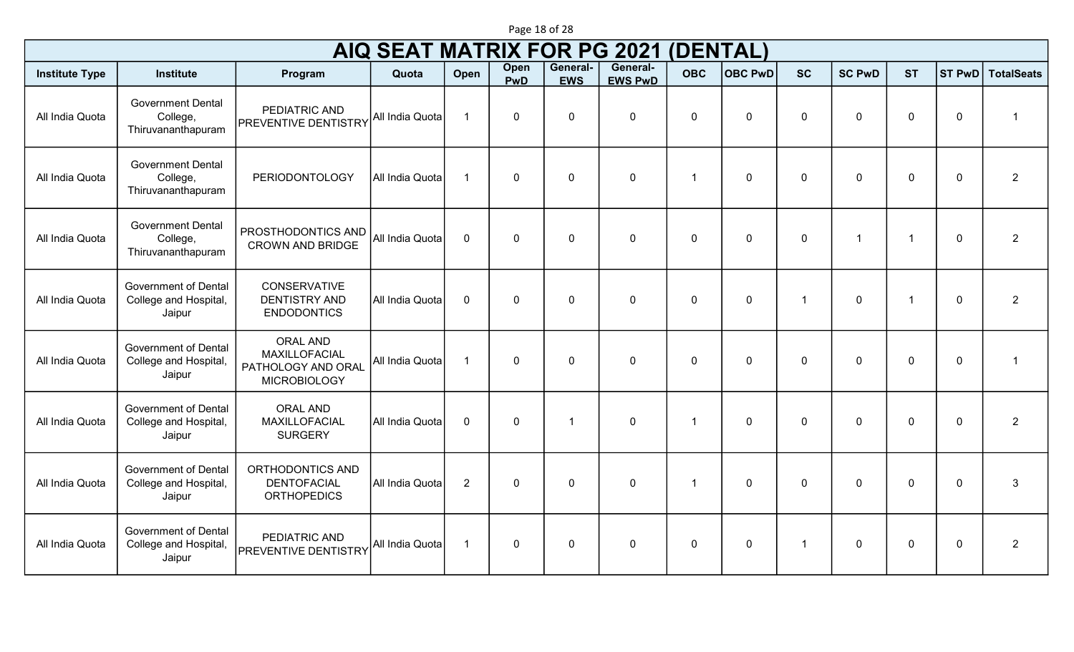| Page 18 of 28 |  |  |  |
|---------------|--|--|--|
|---------------|--|--|--|

| <b>AIQ SEAT MATRIX FOR PG 2021</b><br>(DENTAL)<br>General-<br>General-<br>Open |                                                                |                                                                               |                 |                |              |                |                |                |                |                |                      |                |                |                   |
|--------------------------------------------------------------------------------|----------------------------------------------------------------|-------------------------------------------------------------------------------|-----------------|----------------|--------------|----------------|----------------|----------------|----------------|----------------|----------------------|----------------|----------------|-------------------|
| <b>Institute Type</b>                                                          | <b>Institute</b>                                               | Program                                                                       | Quota           | Open           | <b>PwD</b>   | <b>EWS</b>     | <b>EWS PwD</b> | <b>OBC</b>     | <b>OBC PwD</b> | <b>SC</b>      | <b>SC PwD</b>        | <b>ST</b>      | <b>ST PwD</b>  | <b>TotalSeats</b> |
| All India Quota                                                                | <b>Government Dental</b><br>College,<br>Thiruvananthapuram     | PEDIATRIC AND<br><b>PREVENTIVE DENTISTRY</b>                                  | All India Quota | $\overline{1}$ | $\mathbf 0$  | $\mathbf 0$    | $\mathbf 0$    | $\mathbf 0$    | $\mathbf 0$    | $\mathbf 0$    | $\mathbf 0$          | $\mathbf 0$    | 0              | $\mathbf{1}$      |
| All India Quota                                                                | <b>Government Dental</b><br>College,<br>Thiruvananthapuram     | <b>PERIODONTOLOGY</b>                                                         | All India Quota | $\overline{1}$ | $\Omega$     | $\overline{0}$ | $\mathbf 0$    | $\overline{1}$ | $\mathbf{0}$   | $\mathbf{0}$   | $\Omega$             | $\mathbf 0$    | 0              | $\overline{2}$    |
| All India Quota                                                                | <b>Government Dental</b><br>College,<br>Thiruvananthapuram     | PROSTHODONTICS AND<br><b>CROWN AND BRIDGE</b>                                 | All India Quota | $\mathbf{0}$   | $\mathbf{0}$ | $\overline{0}$ | $\mathbf 0$    | $\mathbf 0$    | $\overline{0}$ | $\overline{0}$ | $\blacktriangleleft$ | $\overline{1}$ | $\overline{0}$ | $\overline{2}$    |
| All India Quota                                                                | <b>Government of Dental</b><br>College and Hospital,<br>Jaipur | <b>CONSERVATIVE</b><br><b>DENTISTRY AND</b><br><b>ENDODONTICS</b>             | All India Quota | $\mathbf{0}$   | $\mathbf{0}$ | $\Omega$       | $\mathbf 0$    | $\Omega$       | $\Omega$       | $\overline{1}$ | $\Omega$             | $\overline{1}$ | $\overline{0}$ | $\overline{2}$    |
| All India Quota                                                                | <b>Government of Dental</b><br>College and Hospital,<br>Jaipur | <b>ORAL AND</b><br>MAXILLOFACIAL<br>PATHOLOGY AND ORAL<br><b>MICROBIOLOGY</b> | All India Quota | $\overline{1}$ | $\mathbf{0}$ | $\mathbf{0}$   | $\mathbf 0$    | $\Omega$       | $\Omega$       | $\Omega$       | $\Omega$             | $\mathbf 0$    | $\mathbf 0$    | $\mathbf{1}$      |
| All India Quota                                                                | <b>Government of Dental</b><br>College and Hospital,<br>Jaipur | <b>ORAL AND</b><br>MAXILLOFACIAL<br><b>SURGERY</b>                            | All India Quota | $\mathbf 0$    | $\mathbf{0}$ | $\overline{1}$ | $\mathbf 0$    | $\overline{1}$ | $\overline{0}$ | $\overline{0}$ | $\mathbf 0$          | $\mathbf 0$    | $\overline{0}$ | $\overline{2}$    |
| All India Quota                                                                | <b>Government of Dental</b><br>College and Hospital,<br>Jaipur | ORTHODONTICS AND<br><b>DENTOFACIAL</b><br><b>ORTHOPEDICS</b>                  | All India Quota | $\overline{2}$ | $\mathbf{0}$ | $\mathbf 0$    | $\mathbf 0$    | $\overline{1}$ | $\overline{0}$ | $\overline{0}$ | $\mathbf 0$          | $\mathbf 0$    | $\overline{0}$ | $\mathbf{3}$      |
| All India Quota                                                                | <b>Government of Dental</b><br>College and Hospital,<br>Jaipur | PEDIATRIC AND<br><b>PREVENTIVE DENTISTRY</b>                                  | All India Quota | $\overline{1}$ | $\mathbf 0$  | $\mathbf 0$    | $\mathbf 0$    | $\mathbf 0$    | $\overline{0}$ | $\mathbf{1}$   | $\Omega$             | $\mathbf 0$    | $\mathbf 0$    | $\overline{2}$    |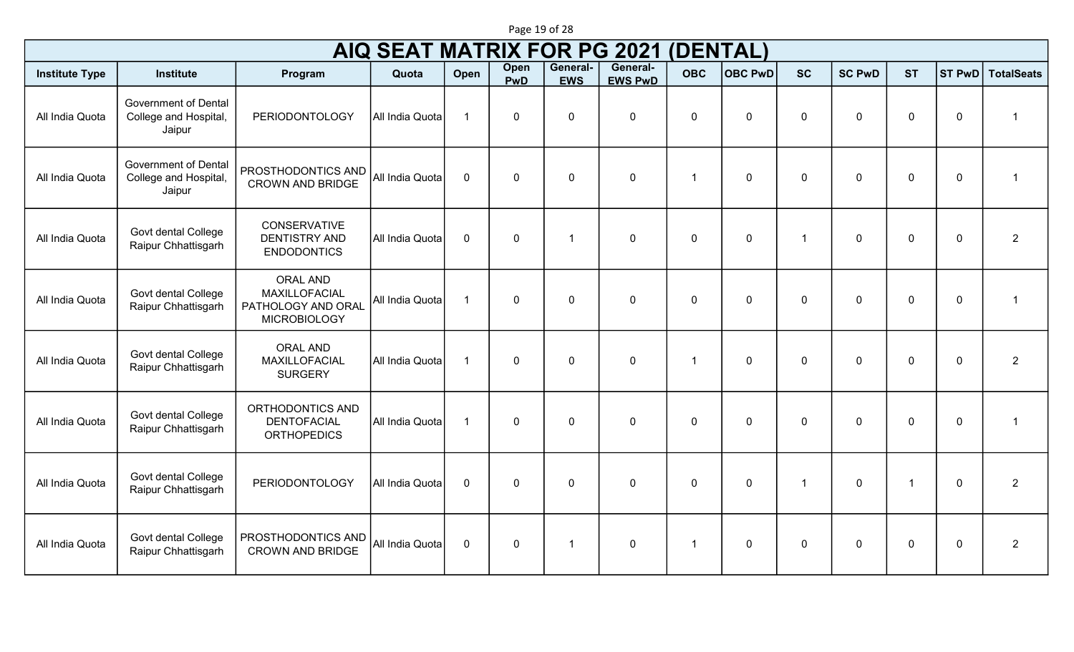|                       | <b>AIQ SEAT MATRIX FOR PG 2021</b><br>(DENTAL)<br>General-<br>General-<br>Open |                                                                               |                 |                |             |              |                |              |                |                |                |             |               |                   |
|-----------------------|--------------------------------------------------------------------------------|-------------------------------------------------------------------------------|-----------------|----------------|-------------|--------------|----------------|--------------|----------------|----------------|----------------|-------------|---------------|-------------------|
| <b>Institute Type</b> | <b>Institute</b>                                                               | Program                                                                       | Quota           | Open           | <b>PwD</b>  | <b>EWS</b>   | <b>EWS PwD</b> | <b>OBC</b>   | <b>OBC PwD</b> | <b>SC</b>      | <b>SC PwD</b>  | <b>ST</b>   | <b>ST PwD</b> | <b>TotalSeats</b> |
| All India Quota       | <b>Government of Dental</b><br>College and Hospital,<br>Jaipur                 | <b>PERIODONTOLOGY</b>                                                         | All India Quota | $\mathbf{1}$   | $\mathbf 0$ | $\mathbf 0$  | $\mathbf 0$    | $\mathbf 0$  | $\mathbf 0$    | $\mathbf 0$    | $\mathbf 0$    | $\mathbf 0$ | $\mathbf 0$   | $\overline{1}$    |
| All India Quota       | <b>Government of Dental</b><br>College and Hospital,<br>Jaipur                 | PROSTHODONTICS AND<br><b>CROWN AND BRIDGE</b>                                 | All India Quota | $\mathbf 0$    | $\mathbf 0$ | $\mathbf 0$  | $\mathbf 0$    | $\mathbf{1}$ | $\mathbf 0$    | $\mathbf 0$    | $\mathbf 0$    | $\mathbf 0$ | $\mathbf 0$   | $\overline{1}$    |
| All India Quota       | Govt dental College<br>Raipur Chhattisgarh                                     | <b>CONSERVATIVE</b><br><b>DENTISTRY AND</b><br><b>ENDODONTICS</b>             | All India Quota | $\mathbf 0$    | $\mathbf 0$ | $\mathbf{1}$ | $\mathbf 0$    | $\mathbf 0$  | $\mathbf 0$    | $\overline{1}$ | $\mathbf 0$    | $\mathbf 0$ | $\mathbf 0$   | $\overline{2}$    |
| All India Quota       | Govt dental College<br>Raipur Chhattisgarh                                     | <b>ORAL AND</b><br>MAXILLOFACIAL<br>PATHOLOGY AND ORAL<br><b>MICROBIOLOGY</b> | All India Quota | $\overline{1}$ | $\mathbf 0$ | $\mathbf 0$  | $\mathbf 0$    | $\mathbf{0}$ | $\mathbf 0$    | $\mathbf 0$    | $\mathbf 0$    | $\mathbf 0$ | $\mathbf 0$   | $\overline{1}$    |
| All India Quota       | Govt dental College<br>Raipur Chhattisgarh                                     | <b>ORAL AND</b><br>MAXILLOFACIAL<br><b>SURGERY</b>                            | All India Quota | $\overline{1}$ | $\mathbf 0$ | $\mathbf 0$  | $\mathbf 0$    | $\mathbf{1}$ | $\mathbf 0$    | $\mathbf 0$    | $\overline{0}$ | $\mathbf 0$ | $\mathbf 0$   | $\overline{2}$    |
| All India Quota       | Govt dental College<br>Raipur Chhattisgarh                                     | ORTHODONTICS AND<br><b>DENTOFACIAL</b><br><b>ORTHOPEDICS</b>                  | All India Quota | $\overline{1}$ | $\mathbf 0$ | $\mathbf 0$  | $\mathbf 0$    | $\mathbf 0$  | $\mathbf 0$    | $\mathbf 0$    | $\mathbf 0$    | $\mathbf 0$ | $\mathbf 0$   | $\overline{1}$    |
| All India Quota       | Govt dental College<br>Raipur Chhattisgarh                                     | PERIODONTOLOGY                                                                | All India Quota | $\mathbf 0$    | $\mathbf 0$ | $\mathbf 0$  | $\mathbf 0$    | $\Omega$     | $\mathbf 0$    | $\overline{1}$ | $\overline{0}$ | 1           | $\mathbf 0$   | $\overline{2}$    |
| All India Quota       | Govt dental College<br>Raipur Chhattisgarh                                     | PROSTHODONTICS AND<br><b>CROWN AND BRIDGE</b>                                 | All India Quota | $\mathbf 0$    | $\mathbf 0$ | $\mathbf{1}$ | $\mathbf 0$    | $\mathbf{1}$ | $\mathbf 0$    | $\mathbf 0$    | $\mathbf 0$    | $\mathbf 0$ | $\mathbf 0$   | $\overline{2}$    |

Page 19 of 28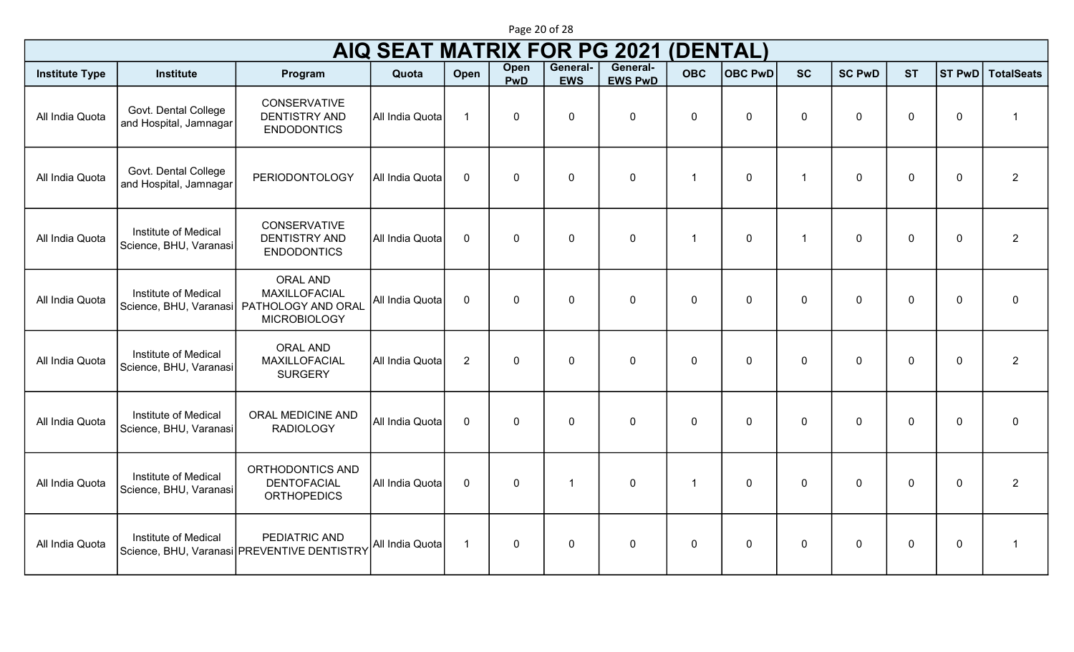|                       |                                                |                                                                               | <b>AIQ SEAT MATRIX FOR PG 2021</b> |                |                    |                        |                            | (DENTAL)                |                |                |               |             |               |                   |
|-----------------------|------------------------------------------------|-------------------------------------------------------------------------------|------------------------------------|----------------|--------------------|------------------------|----------------------------|-------------------------|----------------|----------------|---------------|-------------|---------------|-------------------|
| <b>Institute Type</b> | <b>Institute</b>                               | Program                                                                       | Quota                              | Open           | Open<br><b>PwD</b> | General-<br><b>EWS</b> | General-<br><b>EWS PwD</b> | <b>OBC</b>              | <b>OBC PwD</b> | <b>SC</b>      | <b>SC PwD</b> | <b>ST</b>   | <b>ST PwD</b> | <b>TotalSeats</b> |
| All India Quota       | Govt. Dental College<br>and Hospital, Jamnagar | <b>CONSERVATIVE</b><br><b>DENTISTRY AND</b><br><b>ENDODONTICS</b>             | All India Quota                    | $\overline{1}$ | $\mathbf 0$        | $\mathbf 0$            | $\mathbf 0$                | 0                       | 0              | 0              | 0             | $\mathbf 0$ | $\mathbf 0$   | $\mathbf{1}$      |
| All India Quota       | Govt. Dental College<br>and Hospital, Jamnagar | <b>PERIODONTOLOGY</b>                                                         | All India Quota                    | $\mathbf 0$    | $\mathbf 0$        | $\mathbf 0$            | $\pmb{0}$                  | -1                      | 0              | -1             | 0             | $\mathbf 0$ | $\mathbf 0$   | $\overline{2}$    |
| All India Quota       | Institute of Medical<br>Science, BHU, Varanasi | CONSERVATIVE<br><b>DENTISTRY AND</b><br><b>ENDODONTICS</b>                    | All India Quota                    | $\mathbf 0$    | $\mathbf 0$        | $\mathbf 0$            | $\mathbf 0$                | $\overline{\mathbf{1}}$ | $\mathbf 0$    | $\overline{1}$ | $\mathbf 0$   | $\mathbf 0$ | $\mathbf 0$   | $\overline{2}$    |
| All India Quota       | Institute of Medical<br>Science, BHU, Varanasi | <b>ORAL AND</b><br>MAXILLOFACIAL<br>PATHOLOGY AND ORAL<br><b>MICROBIOLOGY</b> | All India Quota                    | $\mathbf 0$    | $\mathbf 0$        | $\mathbf 0$            | $\mathbf 0$                | 0                       | 0              | 0              | 0             | $\mathbf 0$ | $\mathbf 0$   | $\mathbf 0$       |
| All India Quota       | Institute of Medical<br>Science, BHU, Varanasi | <b>ORAL AND</b><br>MAXILLOFACIAL<br><b>SURGERY</b>                            | All India Quota                    | $\overline{2}$ | $\mathbf 0$        | $\mathbf 0$            | $\mathbf 0$                | 0                       | 0              | 0              | 0             | $\mathbf 0$ | $\mathbf 0$   | 2                 |
| All India Quota       | Institute of Medical<br>Science, BHU, Varanasi | ORAL MEDICINE AND<br><b>RADIOLOGY</b>                                         | All India Quota                    | $\mathbf 0$    | $\mathbf 0$        | $\mathbf 0$            | $\mathbf 0$                | 0                       | 0              | 0              | $\mathbf 0$   | $\mathbf 0$ | $\mathbf 0$   | $\mathbf 0$       |
| All India Quota       | Institute of Medical<br>Science, BHU, Varanasi | ORTHODONTICS AND<br><b>DENTOFACIAL</b><br><b>ORTHOPEDICS</b>                  | All India Quota                    | $\mathbf 0$    | $\mathbf 0$        | $\mathbf{1}$           | $\mathbf 0$                | -1                      | $\mathbf 0$    | 0              | 0             | $\mathbf 0$ | $\mathbf 0$   | $\overline{2}$    |
| All India Quota       | Institute of Medical                           | PEDIATRIC AND<br>Science, BHU, Varanasi   PREVENTIVE DENTISTRY                | All India Quota                    | $\mathbf{1}$   | $\mathbf 0$        | $\mathbf 0$            | $\mathbf 0$                | 0                       | 0              | 0              | 0             | $\mathbf 0$ | $\mathbf 0$   | $\mathbf{1}$      |

Page 20 of 28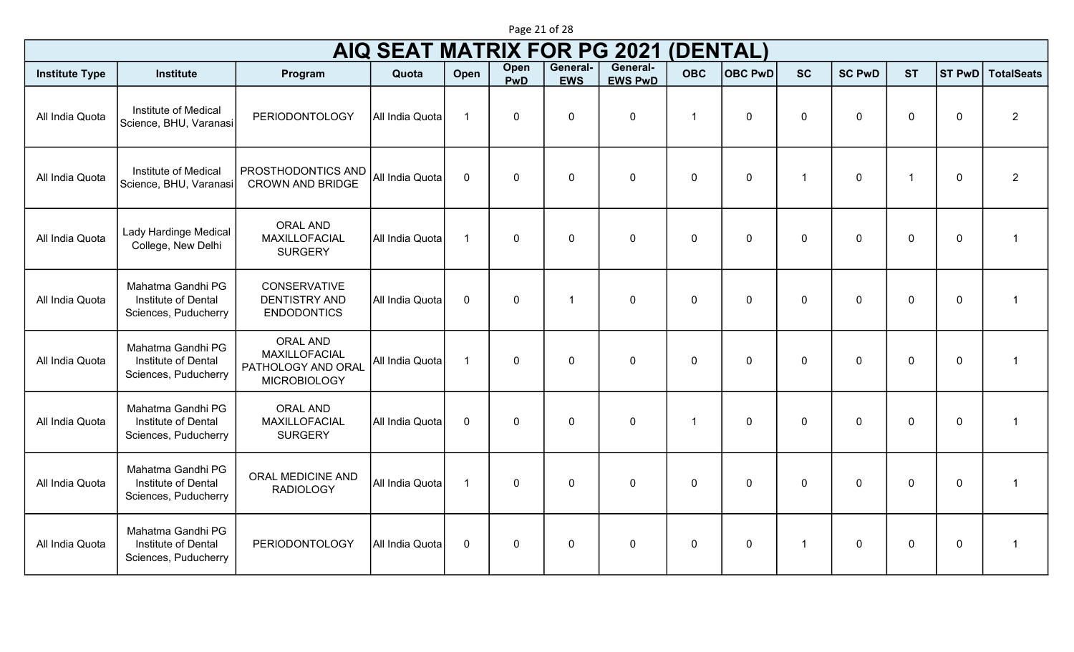|                       | <b>AIQ SEAT MATRIX FOR PG 2021</b><br>(DENTAL)<br>General-       |                                                                               |                 |                         |                    |                        |                |                |                |                |               |                |                  |                         |
|-----------------------|------------------------------------------------------------------|-------------------------------------------------------------------------------|-----------------|-------------------------|--------------------|------------------------|----------------|----------------|----------------|----------------|---------------|----------------|------------------|-------------------------|
| <b>Institute Type</b> | <b>Institute</b>                                                 | Program                                                                       | Quota           | Open                    | Open<br><b>PwD</b> | General-<br><b>EWS</b> | <b>EWS PwD</b> | <b>OBC</b>     | <b>OBC PwD</b> | <b>SC</b>      | <b>SC PwD</b> | <b>ST</b>      | ST PwD           | <b>TotalSeats</b>       |
| All India Quota       | Institute of Medical<br>Science, BHU, Varanasi                   | <b>PERIODONTOLOGY</b>                                                         | All India Quota | $\overline{\mathbf{1}}$ | $\mathbf 0$        | $\mathbf 0$            | $\mathbf 0$    | $\overline{1}$ | $\mathbf 0$    | $\mathbf 0$    | $\Omega$      | $\mathbf 0$    | $\mathbf 0$      | $\overline{2}$          |
| All India Quota       | Institute of Medical<br>Science, BHU, Varanasi                   | PROSTHODONTICS AND<br><b>CROWN AND BRIDGE</b>                                 | All India Quota | $\mathbf 0$             | $\mathbf 0$        | $\mathbf 0$            | $\mathbf 0$    | $\mathbf 0$    | $\mathbf 0$    | $\overline{1}$ | $\mathbf 0$   | $\mathbf{1}$   | $\mathbf 0$      | $\overline{2}$          |
| All India Quota       | Lady Hardinge Medical<br>College, New Delhi                      | <b>ORAL AND</b><br>MAXILLOFACIAL<br><b>SURGERY</b>                            | All India Quota | $\overline{1}$          | $\Omega$           | $\mathbf 0$            | $\mathbf 0$    | $\mathbf 0$    | $\mathbf 0$    | $\mathbf{0}$   | $\Omega$      | $\mathbf 0$    | $\mathbf 0$      | $\overline{1}$          |
| All India Quota       | Mahatma Gandhi PG<br>Institute of Dental<br>Sciences, Puducherry | <b>CONSERVATIVE</b><br><b>DENTISTRY AND</b><br><b>ENDODONTICS</b>             | All India Quota | $\mathbf 0$             | $\mathbf{0}$       | -1                     | $\mathbf{0}$   | $\mathbf 0$    | $\mathbf 0$    | $\Omega$       | $\mathbf{0}$  | $\overline{0}$ | $\mathbf 0$      | $\overline{\mathbf{1}}$ |
| All India Quota       | Mahatma Gandhi PG<br>Institute of Dental<br>Sciences, Puducherry | <b>ORAL AND</b><br>MAXILLOFACIAL<br>PATHOLOGY AND ORAL<br><b>MICROBIOLOGY</b> | All India Quota | $\overline{1}$          | $\mathbf 0$        | $\mathbf 0$            | $\mathbf 0$    | $\mathbf 0$    | $\mathbf 0$    | $\Omega$       | $\Omega$      | $\overline{0}$ | $\boldsymbol{0}$ | $\overline{\mathbf{1}}$ |
| All India Quota       | Mahatma Gandhi PG<br>Institute of Dental<br>Sciences, Puducherry | <b>ORAL AND</b><br>MAXILLOFACIAL<br><b>SURGERY</b>                            | All India Quota | $\mathbf{0}$            | $\mathbf 0$        | $\mathbf 0$            | $\mathbf 0$    | $\overline{1}$ | $\mathbf 0$    | $\Omega$       | $\Omega$      | $\overline{0}$ | $\mathbf 0$      | $\overline{1}$          |
| All India Quota       | Mahatma Gandhi PG<br>Institute of Dental<br>Sciences, Puducherry | <b>ORAL MEDICINE AND</b><br><b>RADIOLOGY</b>                                  | All India Quota | $\overline{1}$          | $\mathbf 0$        | $\mathbf 0$            | $\mathbf 0$    | $\mathbf 0$    | $\mathbf 0$    | $\mathbf{0}$   | $\mathbf 0$   | $\mathbf 0$    | $\mathbf 0$      | $\overline{\mathbf{1}}$ |
| All India Quota       | Mahatma Gandhi PG<br>Institute of Dental<br>Sciences, Puducherry | <b>PERIODONTOLOGY</b>                                                         | All India Quota | $\mathbf 0$             | $\mathbf 0$        | $\mathbf 0$            | $\mathbf 0$    | $\mathbf 0$    | $\mathbf 0$    | $\mathbf 1$    | $\mathbf 0$   | $\mathbf 0$    | $\mathbf 0$      | $\overline{\mathbf{1}}$ |

Page 21 of 28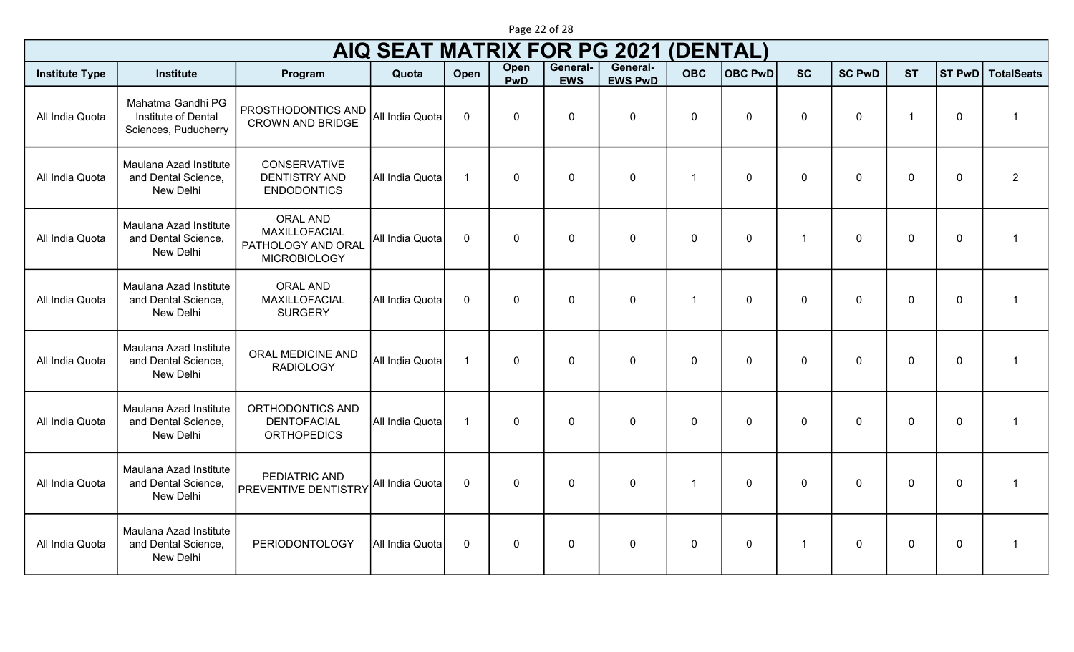| Page 22 of 28 |  |  |  |  |
|---------------|--|--|--|--|
|---------------|--|--|--|--|

## Institute Type **Institute Institute Institute Institute** Program Institute Open Open PwD General-EWS General-General- OBC OBC PwD SC SC PwD ST ST PwD TotalSeats AIQ SEAT MATRIX FOR PG 2021 (DENTAL) All India Quota Mahatma Gandhi PG Institute of Dental Sciences, Puducherry PROSTHODONTICS AND CROWN AND BRIDGE All India Quota 0 0 0 0 0 0 0 0 1 0 1 All India Quota Maulana Azad Institute and Dental Science, New Delhi CONSERVATIVE DENTISTRY AND ENDODONTICS All India Quota 1 0 0 0 1 0 0 0 0 0 2 All India Quota Maulana Azad Institute and Dental Science, New Delhi ORAL AND MAXILLOFACIAL PATHOLOGY AND ORAL MICROBIOLOGY All India Quota 0 0 0 0 0 0 1 0 0 0 1 All India Quota Maulana Azad Institute and Dental Science, New Delhi ORAL AND MAXILLOFACIAL SURGERY All India Quota 0 0 0 0 1 0 0 0 0 0 1 All India Quota Maulana Azad Institute and Dental Science, New Delhi ORAL MEDICINE AND RADIOLOGY All India Quota 1 0 0 0 0 0 0 0 0 0 1 All India Quota Maulana Azad Institute and Dental Science, New Delhi ORTHODONTICS AND DENTOFACIAL **ORTHOPEDICS** All India Quota 1 0 0 0 0 0 0 0 0 0 1 All India Quota Maulana Azad Institute and Dental Science, New Delhi PEDIATRIC AND PEDIATRIC AND<br>PREVENTIVE DENTISTRY All India Quota 0 0 0 0 0 0 0 0 0 0 0 0 0 0 1 0 1 1 All India Quota Maulana Azad Institute and Dental Science, New Delhi PERIODONTOLOGY All India Quota 0 0 0 0 0 0 1 0 0 0 1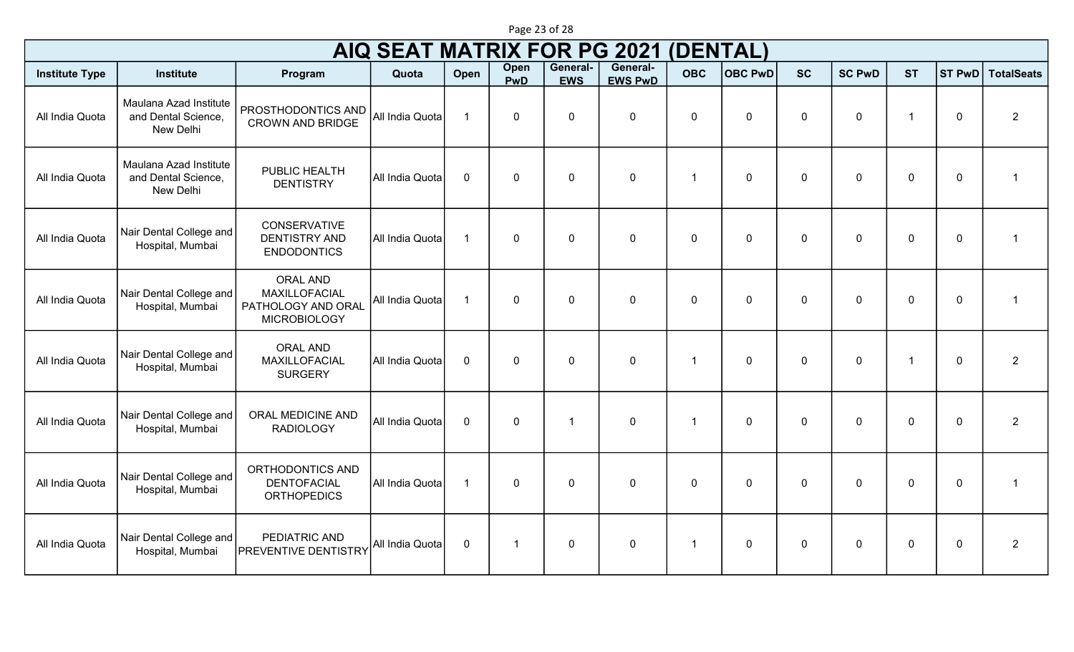|                       |                                      |                                                                                     |       |             | Page 23 of 28      |                        |                            |            |         |           |               |           |  |                          |  |
|-----------------------|--------------------------------------|-------------------------------------------------------------------------------------|-------|-------------|--------------------|------------------------|----------------------------|------------|---------|-----------|---------------|-----------|--|--------------------------|--|
|                       | AIQ SEAT MATRIX FOR PG 2021 (DENTAL) |                                                                                     |       |             |                    |                        |                            |            |         |           |               |           |  |                          |  |
| <b>Institute Type</b> | <b>Institute</b>                     | Program                                                                             | Quota | <b>Open</b> | Open<br><b>PwD</b> | General-<br><b>EWS</b> | General-<br><b>EWS PwD</b> | <b>OBC</b> | OBC PWD | <b>SC</b> | <b>SC PwD</b> | <b>ST</b> |  | <b>ST PwD</b> TotalSeats |  |
| all India Ouota       |                                      | Maulana Azad Institute   <sub>PROSTHODONTICS</sub> AND   <sub>All India Ounte</sub> |       |             |                    |                        |                            |            |         |           |               |           |  |                          |  |

## All India Quota Maulana Azad I and Dental Science, New Delhi CROWN AND BRIDGE All India Quota 1 0 0 0 0 0 0 0 1 0 2 All India Quota Maulana Azad Institute and Dental Science, New Delhi PUBLIC HEALTH DENTISTRY All India Quota 0 0 0 0 1 0 0 0 0 0 1 All India Quota | Nair Dental College and Hospital, Mumbai CONSERVATIVE DENTISTRY AND ENDODONTICS All India Quota 1 0 0 0 0 0 0 0 0 0 1 All India Quota | Nair Dental College and Hospital, Mumbai ORAL AND MAXILLOFACIAL PATHOLOGY AND ORAL MICROBIOLOGY All India Quota 1 0 0 0 0 0 0 0 0 0 1 All India Quota Nair Dental College and Hospital, Mumbai ORAL AND MAXILLOFACIAL **SURGERY** All India Quota 0 0 0 0 1 0 0 0 1 0 2 All India Quota | Nair Dental College and Hospital, Mumbai ORAL MEDICINE AND RADIOLOGY All India Quota 0 0 1 0 1 0 0 0 0 0 2 All India Quota | Nair Dental College and Hospital, Mumbai ORTHODONTICS AND DENTOFACIAL **ORTHOPEDICS** All India Quota 1 0 0 0 0 0 0 0 0 0 1 All India Quota | Nair Dental College and | PEDIATRIC AND<br>Hospital, Mumbai | PREVENTIVE DENTISTRY Hospital, Mumbai PEDIATRIC AND PEDIATRIC AND<br>PREVENTIVE DENTISTRY All India Quota 0 1 0 1 0 0 0 0 0 0 0 0 0 0 2 0 0 2 0 0 2 0 0 2 0 0 0 2 0 0 0 2 0 0 0 2 0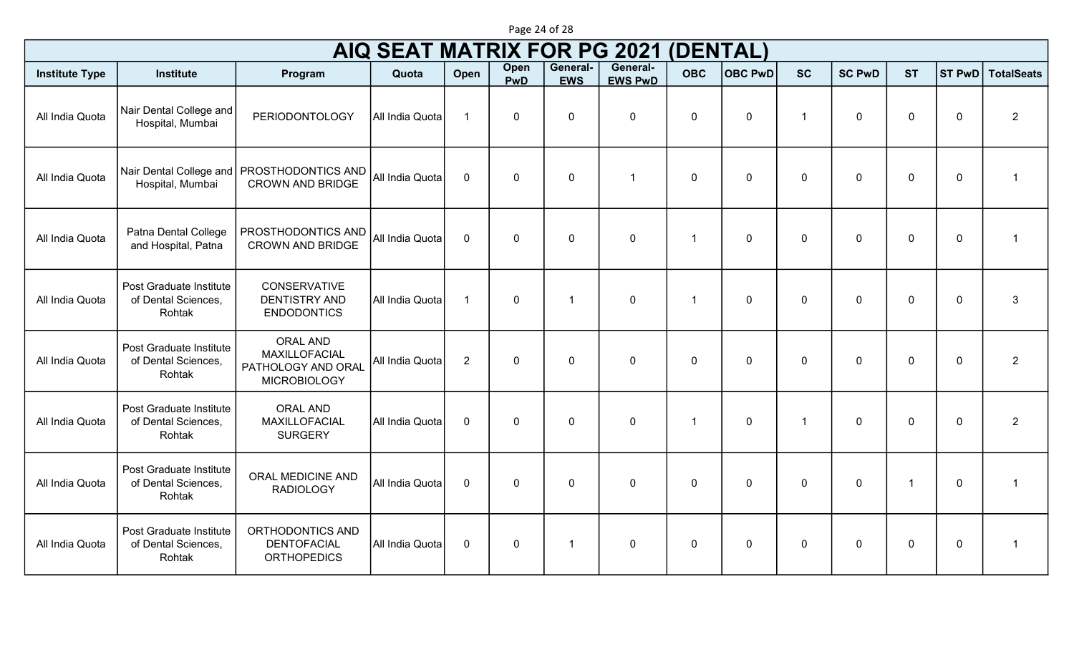| <b>AIQ SEAT MATRIX FOR PG 2021</b><br>(DENTAL) |                                                          |                                                                               |                 |                |              |                        |                            |                |                |                      |               |                |             |                         |
|------------------------------------------------|----------------------------------------------------------|-------------------------------------------------------------------------------|-----------------|----------------|--------------|------------------------|----------------------------|----------------|----------------|----------------------|---------------|----------------|-------------|-------------------------|
| <b>Institute Type</b>                          | <b>Institute</b>                                         | Program                                                                       | Quota           | Open           | Open<br>PwD  | General-<br><b>EWS</b> | General-<br><b>EWS PwD</b> | <b>OBC</b>     | <b>OBC PwD</b> | <b>SC</b>            | <b>SC PwD</b> | <b>ST</b>      | ST PwD      | <b>TotalSeats</b>       |
| All India Quota                                | Nair Dental College and<br>Hospital, Mumbai              | <b>PERIODONTOLOGY</b>                                                         | All India Quota | $\overline{1}$ | $\mathbf 0$  | $\mathbf 0$            | $\mathbf 0$                | $\mathbf 0$    | $\mathbf 0$    | -1                   | $\mathbf 0$   | $\overline{0}$ | $\mathbf 0$ | $\overline{2}$          |
| All India Quota                                | Hospital, Mumbai                                         | Nair Dental College and   PROSTHODONTICS AND<br><b>CROWN AND BRIDGE</b>       | All India Quota | $\mathbf 0$    | $\mathbf 0$  | $\mathbf 0$            | $\mathbf 1$                | $\mathbf 0$    | $\mathbf 0$    | $\mathbf 0$          | $\Omega$      | $\overline{0}$ | $\mathbf 0$ | $\overline{\mathbf{1}}$ |
| All India Quota                                | Patna Dental College<br>and Hospital, Patna              | PROSTHODONTICS AND<br><b>CROWN AND BRIDGE</b>                                 | All India Quota | $\mathbf{0}$   | $\mathbf{0}$ | $\mathbf 0$            | $\mathbf 0$                | $\overline{1}$ | $\mathbf 0$    | $\mathbf{0}$         | $\mathbf{0}$  | $\mathbf 0$    | $\mathbf 0$ | $\overline{1}$          |
| All India Quota                                | Post Graduate Institute<br>of Dental Sciences,<br>Rohtak | CONSERVATIVE<br><b>DENTISTRY AND</b><br><b>ENDODONTICS</b>                    | All India Quota | $\overline{1}$ | $\mathbf 0$  | -1                     | $\mathbf 0$                | -1             | $\mathbf 0$    | $\mathbf 0$          | $\mathbf 0$   | $\overline{0}$ | $\mathbf 0$ | $\mathbf{3}$            |
| All India Quota                                | Post Graduate Institute<br>of Dental Sciences,<br>Rohtak | <b>ORAL AND</b><br>MAXILLOFACIAL<br>PATHOLOGY AND ORAL<br><b>MICROBIOLOGY</b> | All India Quota | 2              | $\mathbf 0$  | $\mathbf 0$            | $\mathbf 0$                | $\mathbf 0$    | $\mathbf 0$    | $\mathbf 0$          | $\Omega$      | $\overline{0}$ | $\mathbf 0$ | $\overline{2}$          |
| All India Quota                                | Post Graduate Institute<br>of Dental Sciences,<br>Rohtak | <b>ORAL AND</b><br>MAXILLOFACIAL<br><b>SURGERY</b>                            | All India Quota | $\mathbf{0}$   | $\mathbf 0$  | $\mathbf 0$            | $\mathbf 0$                | -1             | $\mathbf 0$    | $\blacktriangleleft$ | $\Omega$      | $\overline{0}$ | $\mathbf 0$ | $\overline{2}$          |
| All India Quota                                | Post Graduate Institute<br>of Dental Sciences,<br>Rohtak | ORAL MEDICINE AND<br><b>RADIOLOGY</b>                                         | All India Quota | $\mathbf 0$    | $\mathbf 0$  | $\mathbf 0$            | $\mathbf 0$                | $\mathbf 0$    | $\mathbf 0$    | $\mathbf 0$          | $\mathbf 0$   | $\mathbf{1}$   | $\mathbf 0$ | $\overline{1}$          |
| All India Quota                                | Post Graduate Institute<br>of Dental Sciences,<br>Rohtak | ORTHODONTICS AND<br><b>DENTOFACIAL</b><br><b>ORTHOPEDICS</b>                  | All India Quota | $\mathbf 0$    | $\mathbf 0$  | $\mathbf 1$            | $\mathbf 0$                | $\mathbf 0$    | $\mathbf 0$    | $\mathbf 0$          | $\mathbf 0$   | $\mathbf 0$    | $\mathbf 0$ | $\overline{\mathbf{1}}$ |

Page 24 of 28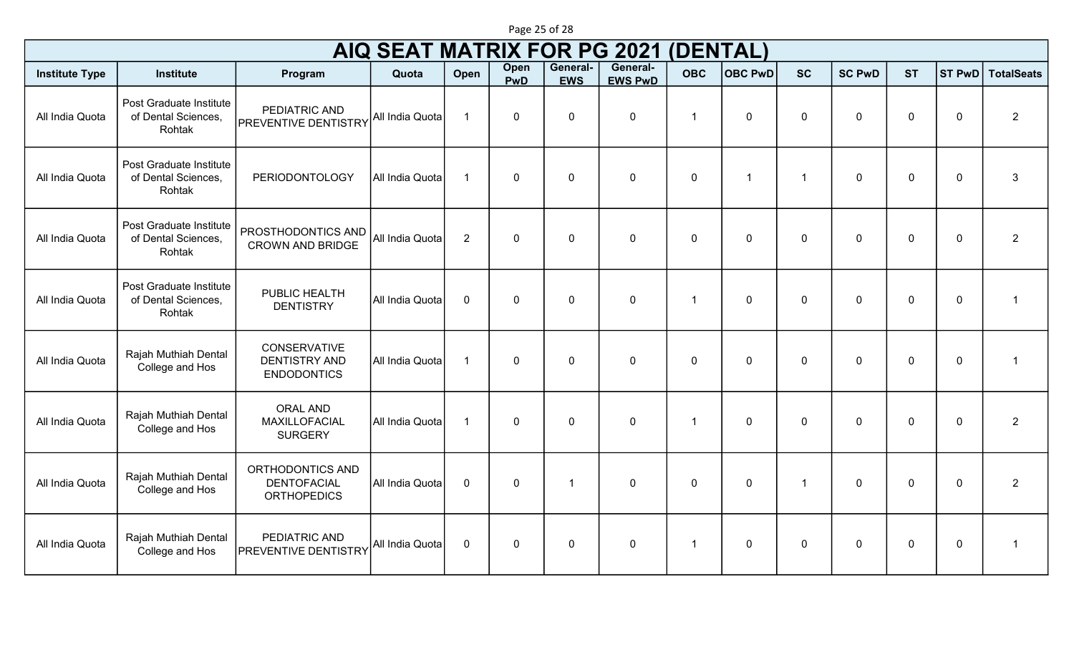| <b>AIQ SEAT MATRIX FOR PG 2021</b><br>(DENTAL) |                                                          |                                                                   |                 |                |                    |                        |                            |             |                |                |               |             |               |                   |
|------------------------------------------------|----------------------------------------------------------|-------------------------------------------------------------------|-----------------|----------------|--------------------|------------------------|----------------------------|-------------|----------------|----------------|---------------|-------------|---------------|-------------------|
| <b>Institute Type</b>                          | <b>Institute</b>                                         | Program                                                           | Quota           | Open           | Open<br><b>PwD</b> | General-<br><b>EWS</b> | General-<br><b>EWS PwD</b> | <b>OBC</b>  | <b>OBC PwD</b> | <b>SC</b>      | <b>SC PwD</b> | <b>ST</b>   | <b>ST PwD</b> | <b>TotalSeats</b> |
| All India Quota                                | Post Graduate Institute<br>of Dental Sciences,<br>Rohtak | PEDIATRIC AND<br><b>PREVENTIVE DENTISTRY</b>                      | All India Quota | $\overline{1}$ | 0                  | $\pmb{0}$              | $\pmb{0}$                  | $\mathbf 1$ | $\mathbf 0$    | $\mathbf 0$    | $\mathbf 0$   | $\mathbf 0$ | $\mathbf 0$   | $\overline{2}$    |
| All India Quota                                | Post Graduate Institute<br>of Dental Sciences,<br>Rohtak | <b>PERIODONTOLOGY</b>                                             | All India Quota | $\overline{1}$ | 0                  | $\mathbf 0$            | $\pmb{0}$                  | $\mathbf 0$ | $\mathbf{1}$   | $\mathbf{1}$   | $\mathbf 0$   | $\mathbf 0$ | $\mathbf 0$   | $\mathbf{3}$      |
| All India Quota                                | Post Graduate Institute<br>of Dental Sciences,<br>Rohtak | PROSTHODONTICS AND<br><b>CROWN AND BRIDGE</b>                     | All India Quota | $\overline{2}$ | 0                  | $\mathbf 0$            | $\mathbf 0$                | $\mathbf 0$ | $\mathbf 0$    | $\mathbf 0$    | $\mathbf 0$   | $\mathbf 0$ | $\mathbf 0$   | $\overline{2}$    |
| All India Quota                                | Post Graduate Institute<br>of Dental Sciences,<br>Rohtak | PUBLIC HEALTH<br><b>DENTISTRY</b>                                 | All India Quota | $\mathbf 0$    | 0                  | $\mathbf 0$            | $\mathbf 0$                | $\mathbf 1$ | $\mathbf 0$    | $\mathbf 0$    | $\mathbf 0$   | $\mathbf 0$ | $\mathbf 0$   | $\overline{1}$    |
| All India Quota                                | Rajah Muthiah Dental<br>College and Hos                  | <b>CONSERVATIVE</b><br><b>DENTISTRY AND</b><br><b>ENDODONTICS</b> | All India Quota | $\overline{1}$ | 0                  | $\mathbf 0$            | $\mathbf 0$                | $\mathbf 0$ | $\mathbf 0$    | $\mathbf 0$    | $\mathbf 0$   | $\mathbf 0$ | $\mathbf 0$   | $\overline{1}$    |
| All India Quota                                | Rajah Muthiah Dental<br>College and Hos                  | <b>ORAL AND</b><br>MAXILLOFACIAL<br><b>SURGERY</b>                | All India Quota | $\overline{1}$ | 0                  | $\mathbf 0$            | $\mathbf 0$                | $\mathbf 1$ | $\mathbf 0$    | $\mathbf 0$    | $\mathbf 0$   | $\mathbf 0$ | $\mathbf 0$   | $\overline{2}$    |
| All India Quota                                | Rajah Muthiah Dental<br>College and Hos                  | ORTHODONTICS AND<br><b>DENTOFACIAL</b><br><b>ORTHOPEDICS</b>      | All India Quota | $\mathbf 0$    | 0                  | 1                      | $\mathbf 0$                | $\mathbf 0$ | $\mathbf 0$    | $\overline{1}$ | $\mathbf 0$   | $\mathbf 0$ | $\mathbf 0$   | $\overline{2}$    |
| All India Quota                                | Rajah Muthiah Dental<br>College and Hos                  | PEDIATRIC AND<br><b>PREVENTIVE DENTISTRY</b>                      | All India Quota | $\mathbf 0$    | 0                  | 0                      | 0                          | $\mathbf 1$ | 0              | $\mathbf 0$    | $\mathbf 0$   | 0           | $\mathbf 0$   | -1                |

Page 25 of 28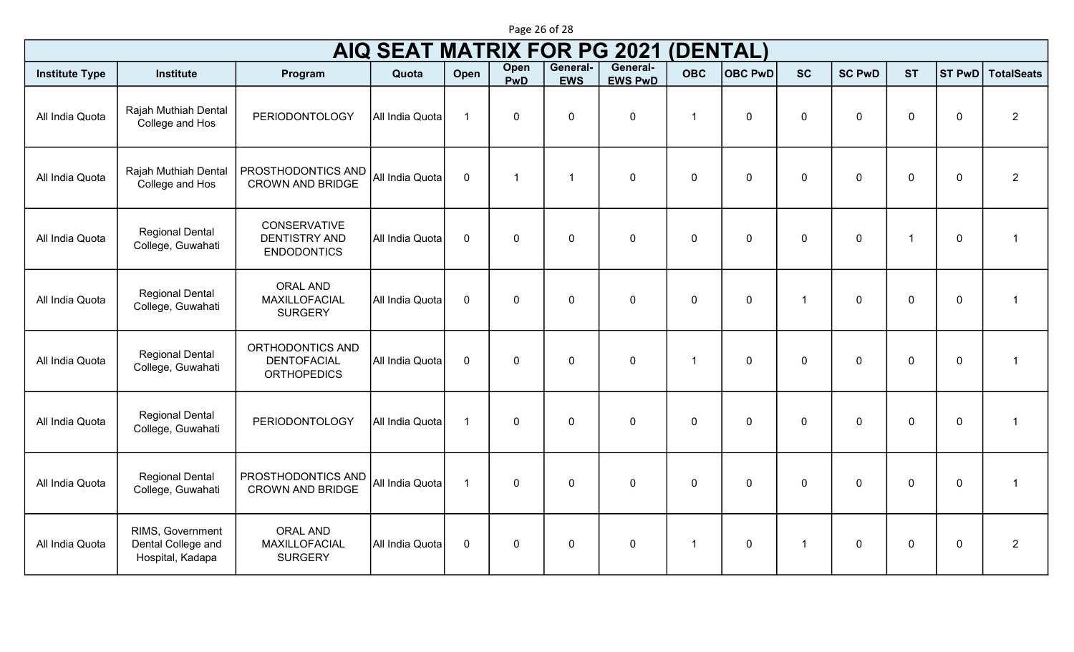|                       |                                                            |                                                                   | <b>AIQ SEAT MATRIX FOR PG 2021</b> |                |                    |                        |                            | (DENTAL)    |                |                      |               |                |                |                   |
|-----------------------|------------------------------------------------------------|-------------------------------------------------------------------|------------------------------------|----------------|--------------------|------------------------|----------------------------|-------------|----------------|----------------------|---------------|----------------|----------------|-------------------|
| <b>Institute Type</b> | <b>Institute</b>                                           | Program                                                           | Quota                              | Open           | Open<br><b>PwD</b> | General-<br><b>EWS</b> | General-<br><b>EWS PwD</b> | <b>OBC</b>  | <b>OBC PwD</b> | <b>SC</b>            | <b>SC PwD</b> | <b>ST</b>      | ST PwD         | <b>TotalSeats</b> |
| All India Quota       | Rajah Muthiah Dental<br>College and Hos                    | <b>PERIODONTOLOGY</b>                                             | All India Quota                    | $\overline{1}$ | $\mathbf 0$        | $\mathbf 0$            | $\pmb{0}$                  | -1          | $\mathbf 0$    | $\mathbf 0$          | $\mathbf 0$   | $\overline{0}$ | $\mathbf 0$    | $\overline{2}$    |
| All India Quota       | Rajah Muthiah Dental<br>College and Hos                    | PROSTHODONTICS AND<br><b>CROWN AND BRIDGE</b>                     | All India Quota                    | $\mathbf 0$    | $\overline{1}$     | -1                     | $\mathbf 0$                | $\mathbf 0$ | $\mathbf 0$    | $\mathbf 0$          | $\mathbf 0$   | $\overline{0}$ | $\mathbf 0$    | $\overline{2}$    |
| All India Quota       | <b>Regional Dental</b><br>College, Guwahati                | <b>CONSERVATIVE</b><br><b>DENTISTRY AND</b><br><b>ENDODONTICS</b> | All India Quota                    | $\mathbf 0$    | $\mathbf{0}$       | $\mathbf 0$            | $\mathbf 0$                | $\mathbf 0$ | $\mathbf 0$    | $\mathbf 0$          | $\mathbf 0$   | $\overline{1}$ | $\mathbf 0$    | -1                |
| All India Quota       | <b>Regional Dental</b><br>College, Guwahati                | <b>ORAL AND</b><br><b>MAXILLOFACIAL</b><br><b>SURGERY</b>         | All India Quota                    | $\mathbf 0$    | $\mathbf 0$        | $\mathbf 0$            | $\mathbf 0$                | $\mathbf 0$ | $\mathbf 0$    | $\blacktriangleleft$ | $\mathbf{0}$  | $\overline{0}$ | $\mathbf 0$    | 1                 |
| All India Quota       | <b>Regional Dental</b><br>College, Guwahati                | ORTHODONTICS AND<br><b>DENTOFACIAL</b><br><b>ORTHOPEDICS</b>      | All India Quota                    | $\mathbf 0$    | $\mathbf 0$        | $\mathbf 0$            | $\mathbf 0$                | -1          | $\mathbf 0$    | $\Omega$             | $\Omega$      | $\overline{0}$ | $\overline{0}$ |                   |
| All India Quota       | <b>Regional Dental</b><br>College, Guwahati                | <b>PERIODONTOLOGY</b>                                             | All India Quota                    | $\mathbf{1}$   | $\mathbf 0$        | $\mathbf 0$            | $\mathbf 0$                | $\mathbf 0$ | $\mathbf 0$    | $\Omega$             | $\Omega$      | $\overline{0}$ | $\mathbf 0$    | $\overline{1}$    |
| All India Quota       | <b>Regional Dental</b><br>College, Guwahati                | PROSTHODONTICS AND<br><b>CROWN AND BRIDGE</b>                     | All India Quota                    | $\overline{1}$ | $\mathbf{0}$       | $\mathbf 0$            | $\mathbf 0$                | $\Omega$    | $\overline{0}$ | $\mathbf{0}$         | $\Omega$      | $\overline{0}$ | $\mathbf 0$    | -1                |
| All India Quota       | RIMS, Government<br>Dental College and<br>Hospital, Kadapa | <b>ORAL AND</b><br>MAXILLOFACIAL<br><b>SURGERY</b>                | All India Quota                    | $\mathbf 0$    | $\mathbf 0$        | $\mathbf 0$            | $\mathbf 0$                | -1          | $\mathbf 0$    | $\blacktriangleleft$ | $\mathbf 0$   | $\overline{0}$ | $\mathbf 0$    | $\overline{2}$    |

Page 26 of 28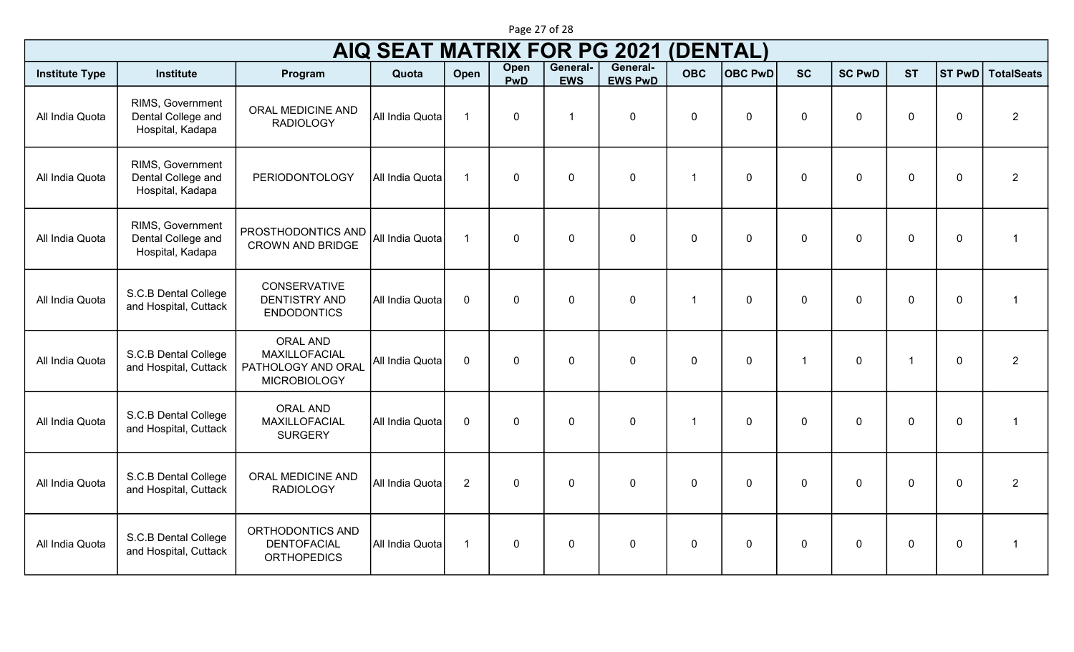|                       |                                                            |                                                                               | <b>AIQ SEAT MATRIX FOR PG 2021</b> |                |             |                        |                            | (DENTAL)                |                |                |               |                |                  |                   |
|-----------------------|------------------------------------------------------------|-------------------------------------------------------------------------------|------------------------------------|----------------|-------------|------------------------|----------------------------|-------------------------|----------------|----------------|---------------|----------------|------------------|-------------------|
| <b>Institute Type</b> | <b>Institute</b>                                           | Program                                                                       | Quota                              | Open           | Open<br>PwD | General-<br><b>EWS</b> | General-<br><b>EWS PwD</b> | <b>OBC</b>              | <b>OBC PwD</b> | <b>SC</b>      | <b>SC PwD</b> | <b>ST</b>      | ST PwD           | <b>TotalSeats</b> |
| All India Quota       | RIMS, Government<br>Dental College and<br>Hospital, Kadapa | ORAL MEDICINE AND<br><b>RADIOLOGY</b>                                         | All India Quota                    | $\overline{1}$ | $\mathbf 0$ | $\overline{1}$         | $\mathbf 0$                | $\mathbf 0$             | $\mathbf 0$    | $\overline{0}$ | $\mathbf 0$   | $\overline{0}$ | $\pmb{0}$        | $\overline{2}$    |
| All India Quota       | RIMS, Government<br>Dental College and<br>Hospital, Kadapa | <b>PERIODONTOLOGY</b>                                                         | All India Quota                    | $\overline{1}$ | $\mathbf 0$ | $\mathbf 0$            | $\pmb{0}$                  | $\overline{\mathbf{1}}$ | $\mathbf 0$    | $\mathbf 0$    | $\mathbf 0$   | $\overline{0}$ | $\boldsymbol{0}$ | $\overline{2}$    |
| All India Quota       | RIMS, Government<br>Dental College and<br>Hospital, Kadapa | PROSTHODONTICS AND<br><b>CROWN AND BRIDGE</b>                                 | All India Quota                    | $\overline{1}$ | $\mathbf 0$ | $\mathbf 0$            | $\mathbf 0$                | $\mathbf 0$             | $\mathbf 0$    | $\mathbf 0$    | $\mathbf 0$   | $\overline{0}$ | $\mathbf 0$      | $\overline{1}$    |
| All India Quota       | S.C.B Dental College<br>and Hospital, Cuttack              | <b>CONSERVATIVE</b><br><b>DENTISTRY AND</b><br><b>ENDODONTICS</b>             | All India Quota                    | $\mathbf 0$    | $\mathbf 0$ | $\mathbf 0$            | $\pmb{0}$                  | -1                      | $\mathbf 0$    | $\overline{0}$ | $\mathbf 0$   | $\overline{0}$ | $\mathbf 0$      | $\overline{1}$    |
| All India Quota       | S.C.B Dental College<br>and Hospital, Cuttack              | <b>ORAL AND</b><br>MAXILLOFACIAL<br>PATHOLOGY AND ORAL<br><b>MICROBIOLOGY</b> | All India Quota                    | $\mathbf 0$    | $\mathbf 0$ | $\Omega$               | $\pmb{0}$                  | $\mathbf{0}$            | $\mathbf{0}$   | $\mathbf{1}$   | $\mathbf{0}$  | $\overline{1}$ | $\boldsymbol{0}$ | $\overline{2}$    |
| All India Quota       | S.C.B Dental College<br>and Hospital, Cuttack              | <b>ORAL AND</b><br>MAXILLOFACIAL<br><b>SURGERY</b>                            | All India Quota                    | $\mathbf 0$    | $\mathbf 0$ | $\mathbf 0$            | $\mathbf 0$                | $\overline{\mathbf{1}}$ | $\mathbf 0$    | $\mathbf 0$    | $\mathbf 0$   | $\overline{0}$ | $\mathbf 0$      | $\overline{1}$    |
| All India Quota       | S.C.B Dental College<br>and Hospital, Cuttack              | ORAL MEDICINE AND<br><b>RADIOLOGY</b>                                         | All India Quota                    | $\overline{2}$ | $\mathbf 0$ | $\mathbf 0$            | $\mathbf 0$                | $\mathbf 0$             | $\mathbf 0$    | $\overline{0}$ | $\Omega$      | $\overline{0}$ | $\mathbf 0$      | $\overline{2}$    |
| All India Quota       | S.C.B Dental College<br>and Hospital, Cuttack              | ORTHODONTICS AND<br><b>DENTOFACIAL</b><br><b>ORTHOPEDICS</b>                  | All India Quota                    | $\overline{1}$ | $\mathbf 0$ | $\mathbf 0$            | $\mathbf 0$                | $\mathbf 0$             | $\mathbf 0$    | $\mathbf 0$    | $\mathbf 0$   | $\overline{0}$ | $\mathbf 0$      | $\overline{1}$    |

Page 27 of 28